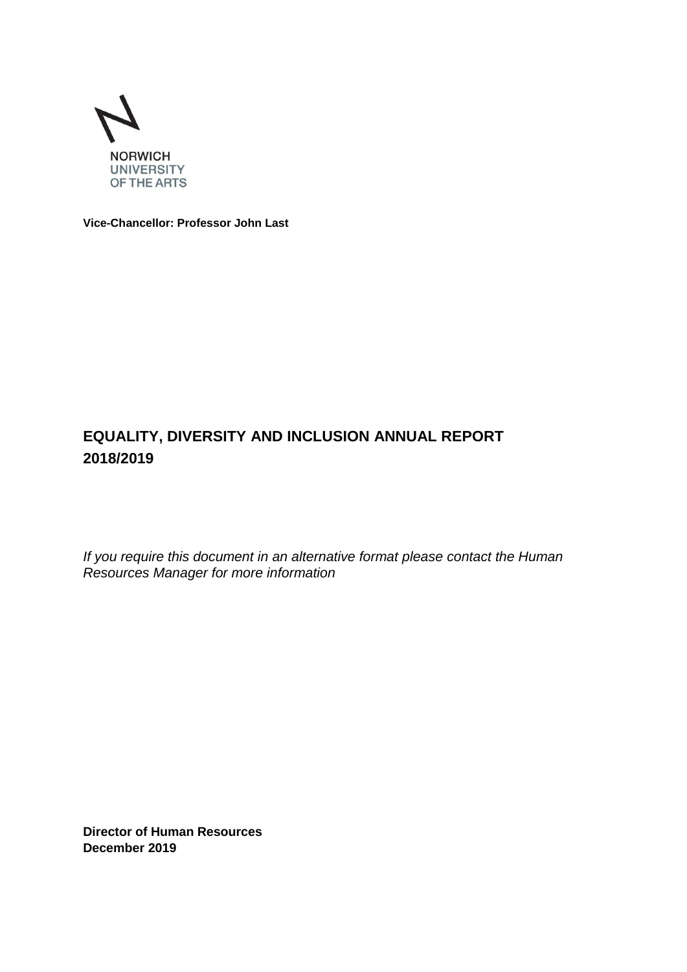

**Vice-Chancellor: Professor John Last**

# **EQUALITY, DIVERSITY AND INCLUSION ANNUAL REPORT 2018/2019**

*If you require this document in an alternative format please contact the Human Resources Manager for more information*

**Director of Human Resources December 2019**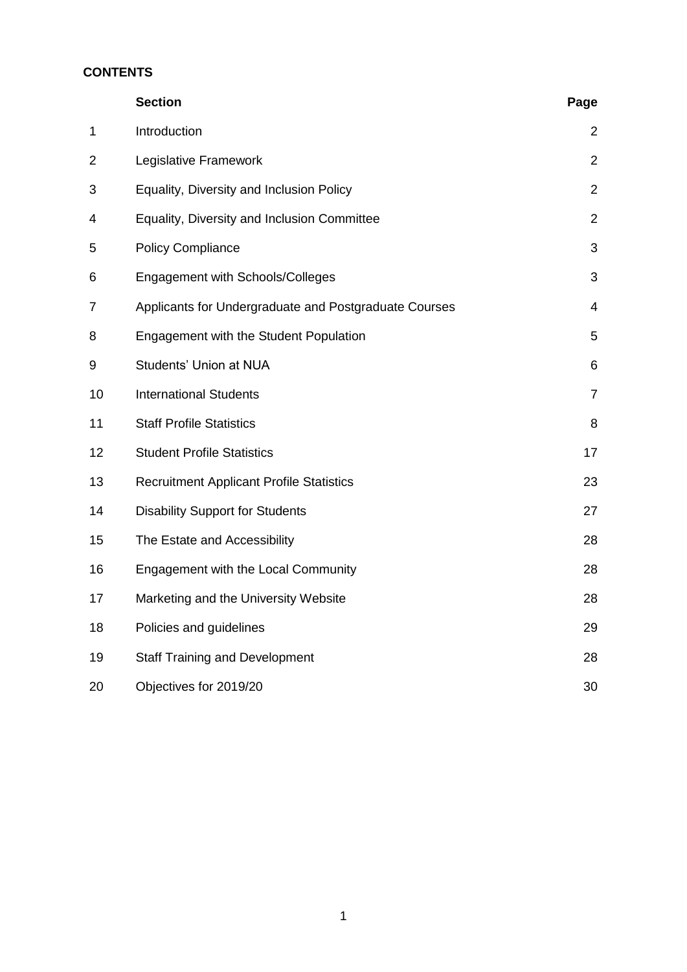# **CONTENTS**

|                | <b>Section</b>                                        | Page           |
|----------------|-------------------------------------------------------|----------------|
| $\mathbf 1$    | Introduction                                          | 2              |
| $\overline{2}$ | Legislative Framework                                 | $\overline{2}$ |
| 3              | Equality, Diversity and Inclusion Policy              | $\overline{2}$ |
| 4              | Equality, Diversity and Inclusion Committee           | $\overline{2}$ |
| 5              | <b>Policy Compliance</b>                              | 3              |
| 6              | Engagement with Schools/Colleges                      | 3              |
| $\overline{7}$ | Applicants for Undergraduate and Postgraduate Courses | 4              |
| 8              | Engagement with the Student Population                | 5              |
| 9              | Students' Union at NUA                                | 6              |
| 10             | <b>International Students</b>                         | $\overline{7}$ |
| 11             | <b>Staff Profile Statistics</b>                       | 8              |
| 12             | <b>Student Profile Statistics</b>                     | 17             |
| 13             | <b>Recruitment Applicant Profile Statistics</b>       | 23             |
| 14             | <b>Disability Support for Students</b>                | 27             |
| 15             | The Estate and Accessibility                          | 28             |
| 16             | Engagement with the Local Community                   | 28             |
| 17             | Marketing and the University Website                  | 28             |
| 18             | Policies and guidelines                               | 29             |
| 19             | <b>Staff Training and Development</b>                 | 28             |
| 20             | Objectives for 2019/20                                | 30             |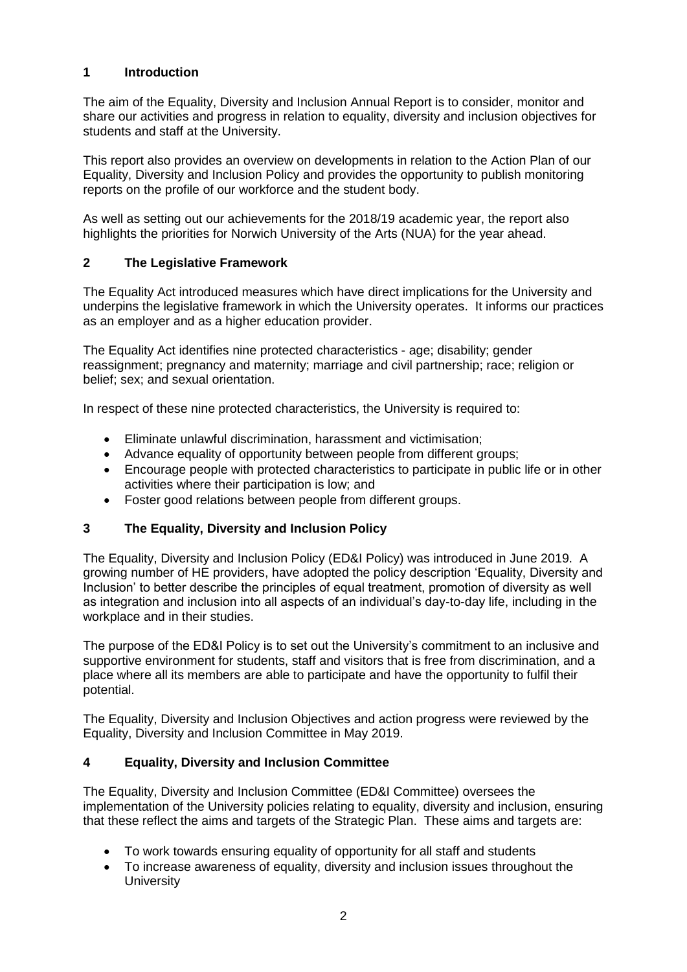# **1 Introduction**

The aim of the Equality, Diversity and Inclusion Annual Report is to consider, monitor and share our activities and progress in relation to equality, diversity and inclusion objectives for students and staff at the University.

This report also provides an overview on developments in relation to the Action Plan of our Equality, Diversity and Inclusion Policy and provides the opportunity to publish monitoring reports on the profile of our workforce and the student body.

As well as setting out our achievements for the 2018/19 academic year, the report also highlights the priorities for Norwich University of the Arts (NUA) for the year ahead.

# **2 The Legislative Framework**

The Equality Act introduced measures which have direct implications for the University and underpins the legislative framework in which the University operates. It informs our practices as an employer and as a higher education provider.

The Equality Act identifies nine protected characteristics - age; disability; gender reassignment; pregnancy and maternity; marriage and civil partnership; race; religion or belief; sex; and sexual orientation.

In respect of these nine protected characteristics, the University is required to:

- Eliminate unlawful discrimination, harassment and victimisation;
- Advance equality of opportunity between people from different groups;
- Encourage people with protected characteristics to participate in public life or in other activities where their participation is low; and
- Foster good relations between people from different groups.

# **3 The Equality, Diversity and Inclusion Policy**

The Equality, Diversity and Inclusion Policy (ED&I Policy) was introduced in June 2019. A growing number of HE providers, have adopted the policy description 'Equality, Diversity and Inclusion' to better describe the principles of equal treatment, promotion of diversity as well as integration and inclusion into all aspects of an individual's day-to-day life, including in the workplace and in their studies.

The purpose of the ED&I Policy is to set out the University's commitment to an inclusive and supportive environment for students, staff and visitors that is free from discrimination, and a place where all its members are able to participate and have the opportunity to fulfil their potential.

The Equality, Diversity and Inclusion Objectives and action progress were reviewed by the Equality, Diversity and Inclusion Committee in May 2019.

# **4 Equality, Diversity and Inclusion Committee**

The Equality, Diversity and Inclusion Committee (ED&I Committee) oversees the implementation of the University policies relating to equality, diversity and inclusion, ensuring that these reflect the aims and targets of the Strategic Plan. These aims and targets are:

- To work towards ensuring equality of opportunity for all staff and students
- To increase awareness of equality, diversity and inclusion issues throughout the **University**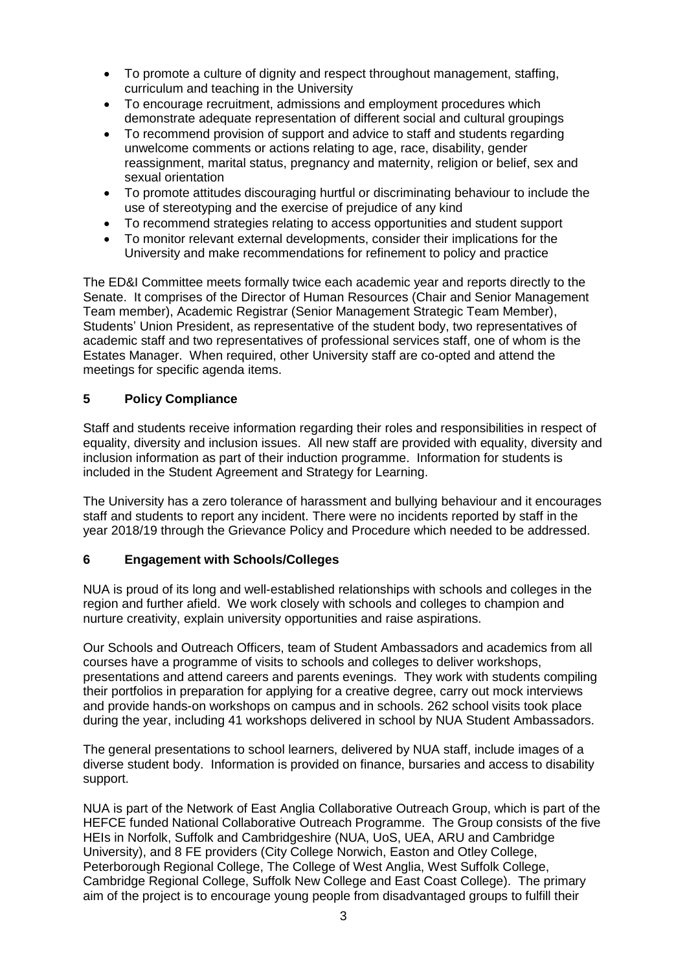- To promote a culture of dignity and respect throughout management, staffing, curriculum and teaching in the University
- To encourage recruitment, admissions and employment procedures which demonstrate adequate representation of different social and cultural groupings
- To recommend provision of support and advice to staff and students regarding unwelcome comments or actions relating to age, race, disability, gender reassignment, marital status, pregnancy and maternity, religion or belief, sex and sexual orientation
- To promote attitudes discouraging hurtful or discriminating behaviour to include the use of stereotyping and the exercise of prejudice of any kind
- To recommend strategies relating to access opportunities and student support
- To monitor relevant external developments, consider their implications for the University and make recommendations for refinement to policy and practice

The ED&I Committee meets formally twice each academic year and reports directly to the Senate. It comprises of the Director of Human Resources (Chair and Senior Management Team member), Academic Registrar (Senior Management Strategic Team Member), Students' Union President, as representative of the student body, two representatives of academic staff and two representatives of professional services staff, one of whom is the Estates Manager. When required, other University staff are co-opted and attend the meetings for specific agenda items.

#### **5 Policy Compliance**

Staff and students receive information regarding their roles and responsibilities in respect of equality, diversity and inclusion issues. All new staff are provided with equality, diversity and inclusion information as part of their induction programme. Information for students is included in the Student Agreement and Strategy for Learning.

The University has a zero tolerance of harassment and bullying behaviour and it encourages staff and students to report any incident. There were no incidents reported by staff in the year 2018/19 through the Grievance Policy and Procedure which needed to be addressed.

#### **6 Engagement with Schools/Colleges**

NUA is proud of its long and well-established relationships with schools and colleges in the region and further afield. We work closely with schools and colleges to champion and nurture creativity, explain university opportunities and raise aspirations.

Our Schools and Outreach Officers, team of Student Ambassadors and academics from all courses have a programme of visits to schools and colleges to deliver workshops, presentations and attend careers and parents evenings. They work with students compiling their portfolios in preparation for applying for a creative degree, carry out mock interviews and provide hands-on workshops on campus and in schools. 262 school visits took place during the year, including 41 workshops delivered in school by NUA Student Ambassadors.

The general presentations to school learners, delivered by NUA staff, include images of a diverse student body. Information is provided on finance, bursaries and access to disability support.

NUA is part of the Network of East Anglia Collaborative Outreach Group, which is part of the HEFCE funded National Collaborative Outreach Programme. The Group consists of the five HEIs in Norfolk, Suffolk and Cambridgeshire (NUA, UoS, UEA, ARU and Cambridge University), and 8 FE providers (City College Norwich, Easton and Otley College, Peterborough Regional College, The College of West Anglia, West Suffolk College, Cambridge Regional College, Suffolk New College and East Coast College). The primary aim of the project is to encourage young people from disadvantaged groups to fulfill their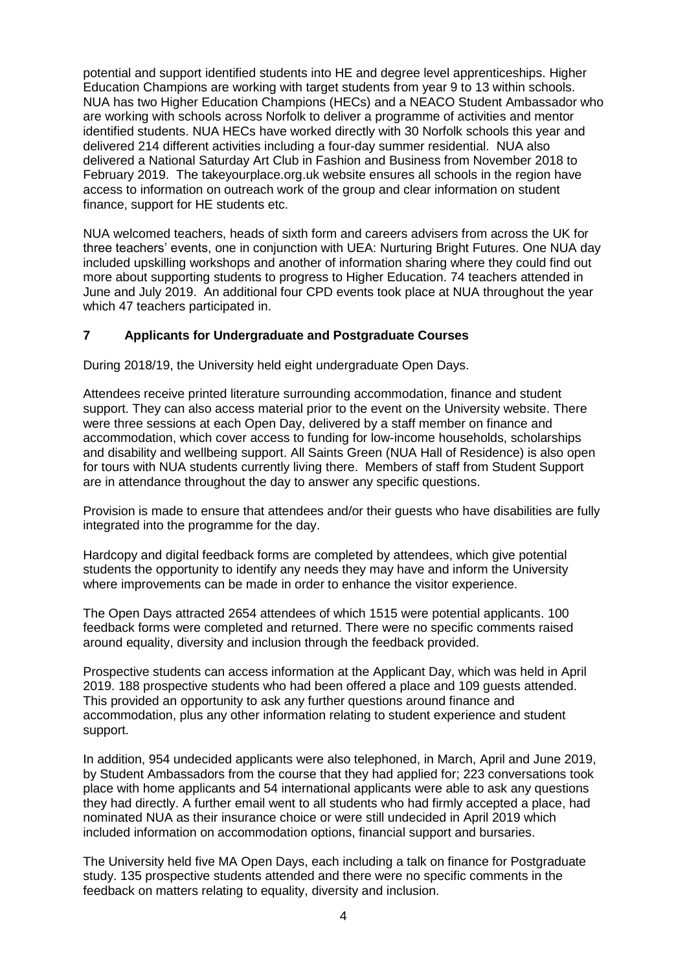potential and support identified students into HE and degree level apprenticeships. Higher Education Champions are working with target students from year 9 to 13 within schools. NUA has two Higher Education Champions (HECs) and a NEACO Student Ambassador who are working with schools across Norfolk to deliver a programme of activities and mentor identified students. NUA HECs have worked directly with 30 Norfolk schools this year and delivered 214 different activities including a four-day summer residential. NUA also delivered a National Saturday Art Club in Fashion and Business from November 2018 to February 2019. The takeyourplace.org.uk website ensures all schools in the region have access to information on outreach work of the group and clear information on student finance, support for HE students etc.

NUA welcomed teachers, heads of sixth form and careers advisers from across the UK for three teachers' events, one in conjunction with UEA: Nurturing Bright Futures. One NUA day included upskilling workshops and another of information sharing where they could find out more about supporting students to progress to Higher Education. 74 teachers attended in June and July 2019. An additional four CPD events took place at NUA throughout the year which 47 teachers participated in.

# **7 Applicants for Undergraduate and Postgraduate Courses**

During 2018/19, the University held eight undergraduate Open Days.

Attendees receive printed literature surrounding accommodation, finance and student support. They can also access material prior to the event on the University website. There were three sessions at each Open Day, delivered by a staff member on finance and accommodation, which cover access to funding for low-income households, scholarships and disability and wellbeing support. All Saints Green (NUA Hall of Residence) is also open for tours with NUA students currently living there. Members of staff from Student Support are in attendance throughout the day to answer any specific questions.

Provision is made to ensure that attendees and/or their guests who have disabilities are fully integrated into the programme for the day.

Hardcopy and digital feedback forms are completed by attendees, which give potential students the opportunity to identify any needs they may have and inform the University where improvements can be made in order to enhance the visitor experience.

The Open Days attracted 2654 attendees of which 1515 were potential applicants. 100 feedback forms were completed and returned. There were no specific comments raised around equality, diversity and inclusion through the feedback provided.

Prospective students can access information at the Applicant Day, which was held in April 2019. 188 prospective students who had been offered a place and 109 guests attended. This provided an opportunity to ask any further questions around finance and accommodation, plus any other information relating to student experience and student support.

In addition, 954 undecided applicants were also telephoned, in March, April and June 2019, by Student Ambassadors from the course that they had applied for; 223 conversations took place with home applicants and 54 international applicants were able to ask any questions they had directly. A further email went to all students who had firmly accepted a place, had nominated NUA as their insurance choice or were still undecided in April 2019 which included information on accommodation options, financial support and bursaries.

The University held five MA Open Days, each including a talk on finance for Postgraduate study. 135 prospective students attended and there were no specific comments in the feedback on matters relating to equality, diversity and inclusion.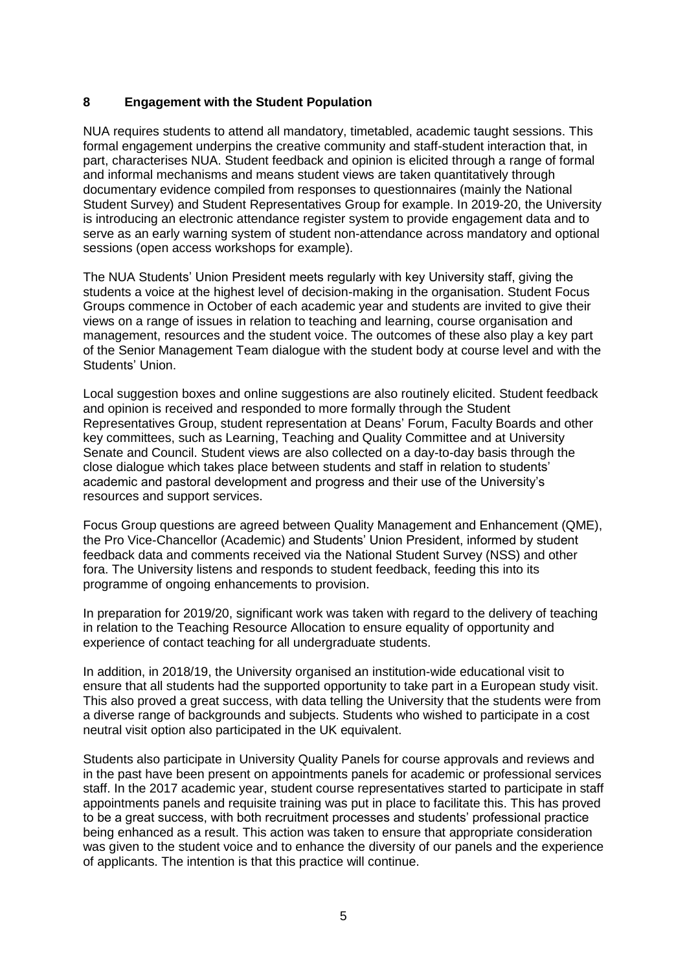#### **8 Engagement with the Student Population**

NUA requires students to attend all mandatory, timetabled, academic taught sessions. This formal engagement underpins the creative community and staff-student interaction that, in part, characterises NUA. Student feedback and opinion is elicited through a range of formal and informal mechanisms and means student views are taken quantitatively through documentary evidence compiled from responses to questionnaires (mainly the National Student Survey) and Student Representatives Group for example. In 2019-20, the University is introducing an electronic attendance register system to provide engagement data and to serve as an early warning system of student non-attendance across mandatory and optional sessions (open access workshops for example).

The NUA Students' Union President meets regularly with key University staff, giving the students a voice at the highest level of decision-making in the organisation. Student Focus Groups commence in October of each academic year and students are invited to give their views on a range of issues in relation to teaching and learning, course organisation and management, resources and the student voice. The outcomes of these also play a key part of the Senior Management Team dialogue with the student body at course level and with the Students' Union.

Local suggestion boxes and online suggestions are also routinely elicited. Student feedback and opinion is received and responded to more formally through the Student Representatives Group, student representation at Deans' Forum, Faculty Boards and other key committees, such as Learning, Teaching and Quality Committee and at University Senate and Council. Student views are also collected on a day-to-day basis through the close dialogue which takes place between students and staff in relation to students' academic and pastoral development and progress and their use of the University's resources and support services.

Focus Group questions are agreed between Quality Management and Enhancement (QME), the Pro Vice-Chancellor (Academic) and Students' Union President, informed by student feedback data and comments received via the National Student Survey (NSS) and other fora. The University listens and responds to student feedback, feeding this into its programme of ongoing enhancements to provision.

In preparation for 2019/20, significant work was taken with regard to the delivery of teaching in relation to the Teaching Resource Allocation to ensure equality of opportunity and experience of contact teaching for all undergraduate students.

In addition, in 2018/19, the University organised an institution-wide educational visit to ensure that all students had the supported opportunity to take part in a European study visit. This also proved a great success, with data telling the University that the students were from a diverse range of backgrounds and subjects. Students who wished to participate in a cost neutral visit option also participated in the UK equivalent.

Students also participate in University Quality Panels for course approvals and reviews and in the past have been present on appointments panels for academic or professional services staff. In the 2017 academic year, student course representatives started to participate in staff appointments panels and requisite training was put in place to facilitate this. This has proved to be a great success, with both recruitment processes and students' professional practice being enhanced as a result. This action was taken to ensure that appropriate consideration was given to the student voice and to enhance the diversity of our panels and the experience of applicants. The intention is that this practice will continue.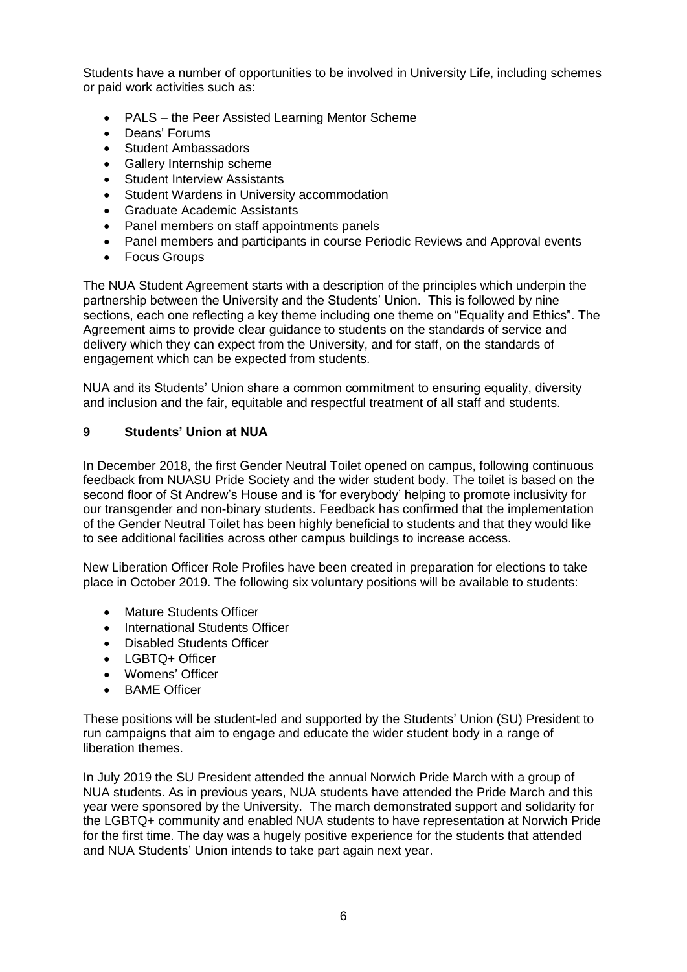Students have a number of opportunities to be involved in University Life, including schemes or paid work activities such as:

- PALS the Peer Assisted Learning Mentor Scheme
- Deans' Forums
- Student Ambassadors
- Gallery Internship scheme
- Student Interview Assistants
- Student Wardens in University accommodation
- Graduate Academic Assistants
- Panel members on staff appointments panels
- Panel members and participants in course Periodic Reviews and Approval events
- Focus Groups

The NUA Student Agreement starts with a description of the principles which underpin the partnership between the University and the Students' Union. This is followed by nine sections, each one reflecting a key theme including one theme on "Equality and Ethics". The Agreement aims to provide clear guidance to students on the standards of service and delivery which they can expect from the University, and for staff, on the standards of engagement which can be expected from students.

NUA and its Students' Union share a common commitment to ensuring equality, diversity and inclusion and the fair, equitable and respectful treatment of all staff and students.

#### **9 Students' Union at NUA**

In December 2018, the first Gender Neutral Toilet opened on campus, following continuous feedback from NUASU Pride Society and the wider student body. The toilet is based on the second floor of St Andrew's House and is 'for everybody' helping to promote inclusivity for our transgender and non-binary students. Feedback has confirmed that the implementation of the Gender Neutral Toilet has been highly beneficial to students and that they would like to see additional facilities across other campus buildings to increase access.

New Liberation Officer Role Profiles have been created in preparation for elections to take place in October 2019. The following six voluntary positions will be available to students:

- Mature Students Officer
- International Students Officer
- Disabled Students Officer
- **LGBTQ+ Officer**
- Womens' Officer
- BAME Officer

These positions will be student-led and supported by the Students' Union (SU) President to run campaigns that aim to engage and educate the wider student body in a range of liberation themes.

In July 2019 the SU President attended the annual Norwich Pride March with a group of NUA students. As in previous years, NUA students have attended the Pride March and this year were sponsored by the University. The march demonstrated support and solidarity for the LGBTQ+ community and enabled NUA students to have representation at Norwich Pride for the first time. The day was a hugely positive experience for the students that attended and NUA Students' Union intends to take part again next year.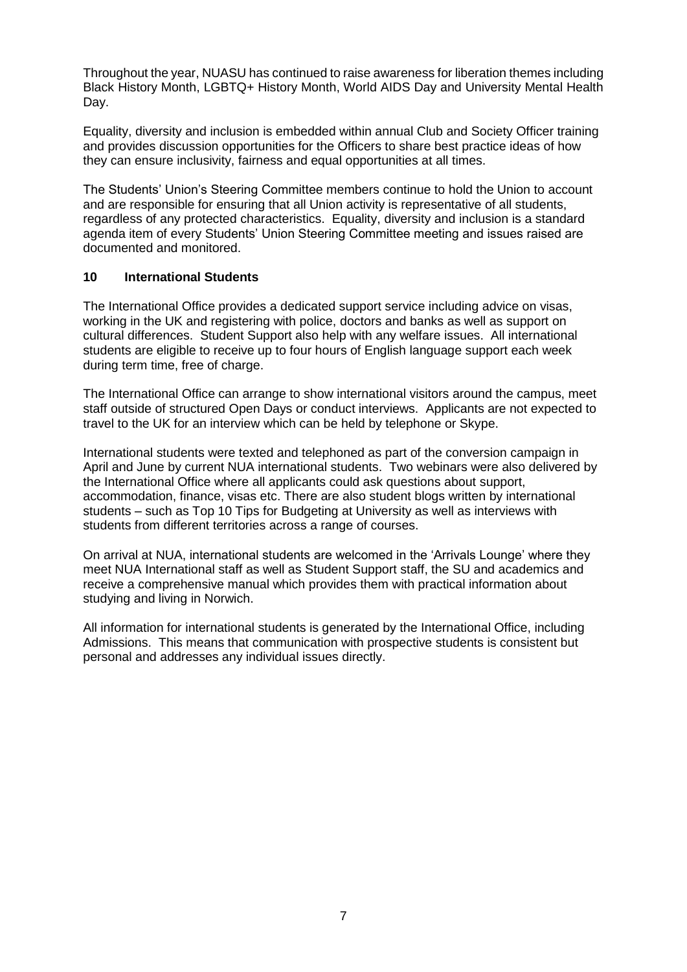Throughout the year, NUASU has continued to raise awareness for liberation themes including Black History Month, LGBTQ+ History Month, World AIDS Day and University Mental Health Day.

Equality, diversity and inclusion is embedded within annual Club and Society Officer training and provides discussion opportunities for the Officers to share best practice ideas of how they can ensure inclusivity, fairness and equal opportunities at all times.

The Students' Union's Steering Committee members continue to hold the Union to account and are responsible for ensuring that all Union activity is representative of all students, regardless of any protected characteristics. Equality, diversity and inclusion is a standard agenda item of every Students' Union Steering Committee meeting and issues raised are documented and monitored.

#### **10 International Students**

The International Office provides a dedicated support service including advice on visas, working in the UK and registering with police, doctors and banks as well as support on cultural differences. Student Support also help with any welfare issues. All international students are eligible to receive up to four hours of English language support each week during term time, free of charge.

The International Office can arrange to show international visitors around the campus, meet staff outside of structured Open Days or conduct interviews. Applicants are not expected to travel to the UK for an interview which can be held by telephone or Skype.

International students were texted and telephoned as part of the conversion campaign in April and June by current NUA international students. Two webinars were also delivered by the International Office where all applicants could ask questions about support, accommodation, finance, visas etc. There are also student blogs written by international students – such as Top 10 Tips for Budgeting at University as well as interviews with students from different territories across a range of courses.

On arrival at NUA, international students are welcomed in the 'Arrivals Lounge' where they meet NUA International staff as well as Student Support staff, the SU and academics and receive a comprehensive manual which provides them with practical information about studying and living in Norwich.

All information for international students is generated by the International Office, including Admissions. This means that communication with prospective students is consistent but personal and addresses any individual issues directly.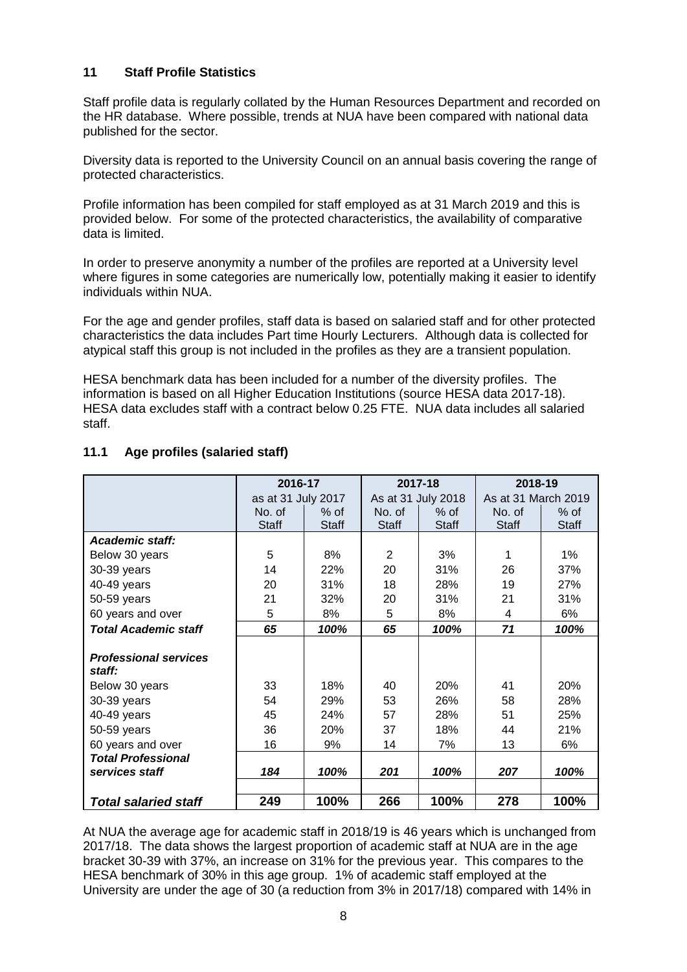#### **11 Staff Profile Statistics**

Staff profile data is regularly collated by the Human Resources Department and recorded on the HR database. Where possible, trends at NUA have been compared with national data published for the sector.

Diversity data is reported to the University Council on an annual basis covering the range of protected characteristics.

Profile information has been compiled for staff employed as at 31 March 2019 and this is provided below. For some of the protected characteristics, the availability of comparative data is limited.

In order to preserve anonymity a number of the profiles are reported at a University level where figures in some categories are numerically low, potentially making it easier to identify individuals within NUA.

For the age and gender profiles, staff data is based on salaried staff and for other protected characteristics the data includes Part time Hourly Lecturers. Although data is collected for atypical staff this group is not included in the profiles as they are a transient population.

HESA benchmark data has been included for a number of the diversity profiles. The information is based on all Higher Education Institutions (source HESA data 2017-18). HESA data excludes staff with a contract below 0.25 FTE. NUA data includes all salaried staff.

|                              | 2016-17            |              |              | 2017-18            | 2018-19      |                     |  |
|------------------------------|--------------------|--------------|--------------|--------------------|--------------|---------------------|--|
|                              | as at 31 July 2017 |              |              | As at 31 July 2018 |              | As at 31 March 2019 |  |
|                              | No. of             | $%$ of       | No. of       | $%$ of             | No. of       | $%$ of              |  |
|                              | <b>Staff</b>       | <b>Staff</b> | <b>Staff</b> | <b>Staff</b>       | <b>Staff</b> | <b>Staff</b>        |  |
| Academic staff:              |                    |              |              |                    |              |                     |  |
| Below 30 years               | 5                  | 8%           | 2            | 3%                 | 1            | $1\%$               |  |
| 30-39 years                  | 14                 | 22%          | 20           | 31%                | 26           | 37%                 |  |
| 40-49 years                  | 20                 | 31%          | 18           | 28%                | 19           | 27%                 |  |
| 50-59 years                  | 21                 | 32%          | 20           | 31%                | 21           | 31%                 |  |
| 60 years and over            | 5                  | 8%           | 5            | 8%                 | 4            | 6%                  |  |
| <b>Total Academic staff</b>  | 65                 | 100%         | 65           | 100%               | 71           | 100%                |  |
|                              |                    |              |              |                    |              |                     |  |
| <b>Professional services</b> |                    |              |              |                    |              |                     |  |
| staff:                       |                    |              |              |                    |              |                     |  |
| Below 30 years               | 33                 | 18%          | 40           | <b>20%</b>         | 41           | 20%                 |  |
| 30-39 years                  | 54                 | 29%          | 53           | 26%                | 58           | 28%                 |  |
| 40-49 years                  | 45                 | 24%          | 57           | 28%                | 51           | 25%                 |  |
| 50-59 years                  | 36                 | 20%          | 37           | 18%                | 44           | 21%                 |  |
| 60 years and over            | 16                 | 9%           | 14           | 7%                 | 13           | 6%                  |  |
| <b>Total Professional</b>    |                    |              |              |                    |              |                     |  |
| services staff               | 184                | 100%         | 201          | 100%               | 207          | 100%                |  |
|                              |                    |              |              |                    |              |                     |  |
| <b>Total salaried staff</b>  | 249                | 100%         | 266          | 100%               | 278          | 100%                |  |

# **11.1 Age profiles (salaried staff)**

At NUA the average age for academic staff in 2018/19 is 46 years which is unchanged from 2017/18. The data shows the largest proportion of academic staff at NUA are in the age bracket 30-39 with 37%, an increase on 31% for the previous year. This compares to the HESA benchmark of 30% in this age group. 1% of academic staff employed at the University are under the age of 30 (a reduction from 3% in 2017/18) compared with 14% in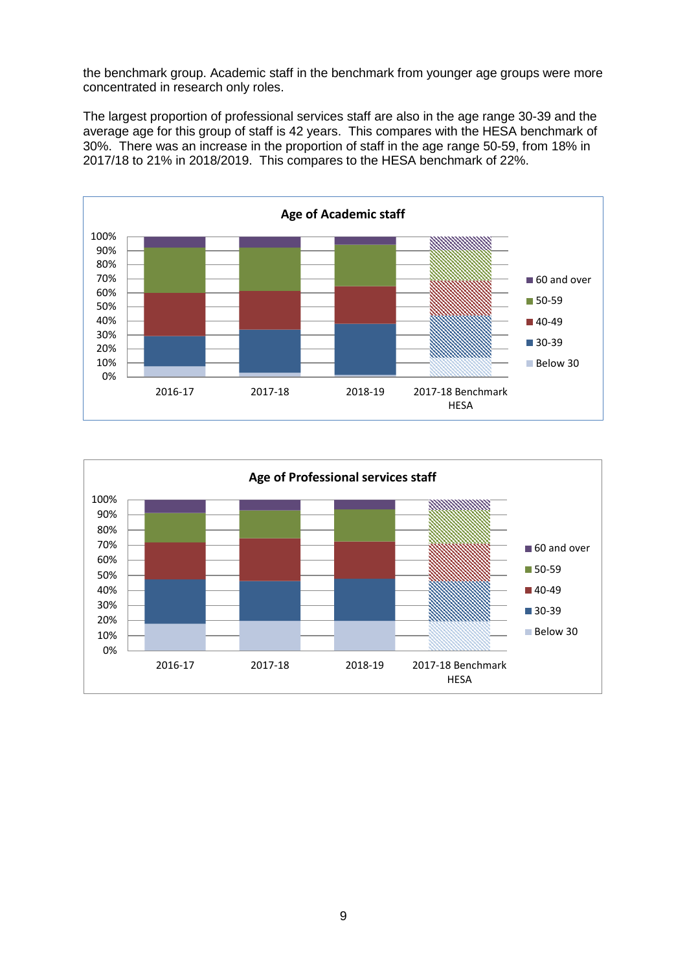the benchmark group. Academic staff in the benchmark from younger age groups were more concentrated in research only roles.

The largest proportion of professional services staff are also in the age range 30-39 and the average age for this group of staff is 42 years. This compares with the HESA benchmark of 30%. There was an increase in the proportion of staff in the age range 50-59, from 18% in 2017/18 to 21% in 2018/2019. This compares to the HESA benchmark of 22%.



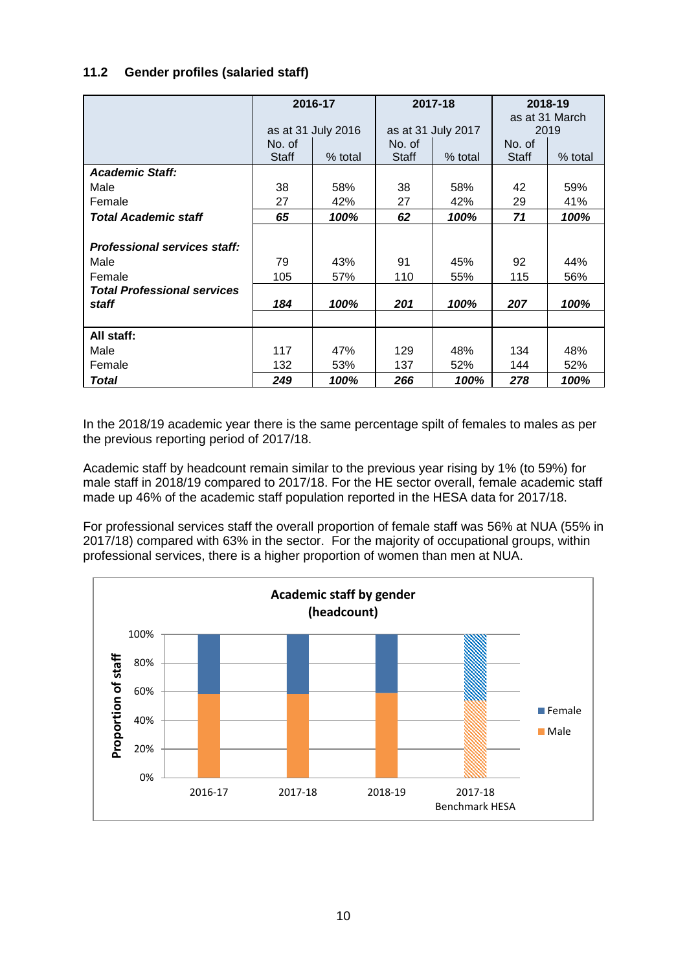#### **11.2 Gender profiles (salaried staff)**

|                                     |        | 2016-17            |        | 2017-18            |              | 2018-19<br>as at 31 March |  |
|-------------------------------------|--------|--------------------|--------|--------------------|--------------|---------------------------|--|
|                                     |        | as at 31 July 2016 |        | as at 31 July 2017 |              | 2019                      |  |
|                                     | No. of |                    | No. of |                    | No. of       |                           |  |
|                                     | Staff  | % total            | Staff  | % total            | <b>Staff</b> | $%$ total                 |  |
| <b>Academic Staff:</b>              |        |                    |        |                    |              |                           |  |
| Male                                | 38     | 58%                | 38     | 58%                | 42           | 59%                       |  |
| Female                              | 27     | 42%                | 27     | 42%                | 29           | 41%                       |  |
| <b>Total Academic staff</b>         | 65     | 100%               | 62     | 100%               | 71           | 100%                      |  |
|                                     |        |                    |        |                    |              |                           |  |
| <b>Professional services staff:</b> |        |                    |        |                    |              |                           |  |
| Male                                | 79     | 43%                | 91     | 45%                | 92           | 44%                       |  |
| Female                              | 105    | 57%                | 110    | 55%                | 115          | 56%                       |  |
| <b>Total Professional services</b>  |        |                    |        |                    |              |                           |  |
| staff                               | 184    | 100%               | 201    | 100%               | 207          | 100%                      |  |
|                                     |        |                    |        |                    |              |                           |  |
| All staff:                          |        |                    |        |                    |              |                           |  |
| Male                                | 117    | 47%                | 129    | 48%                | 134          | 48%                       |  |
| Female                              | 132    | 53%                | 137    | 52%                | 144          | 52%                       |  |
| <b>Total</b>                        | 249    | 100%               | 266    | 100%               | 278          | 100%                      |  |

In the 2018/19 academic year there is the same percentage spilt of females to males as per the previous reporting period of 2017/18.

Academic staff by headcount remain similar to the previous year rising by 1% (to 59%) for male staff in 2018/19 compared to 2017/18. For the HE sector overall, female academic staff made up 46% of the academic staff population reported in the HESA data for 2017/18.

For professional services staff the overall proportion of female staff was 56% at NUA (55% in 2017/18) compared with 63% in the sector. For the majority of occupational groups, within professional services, there is a higher proportion of women than men at NUA.

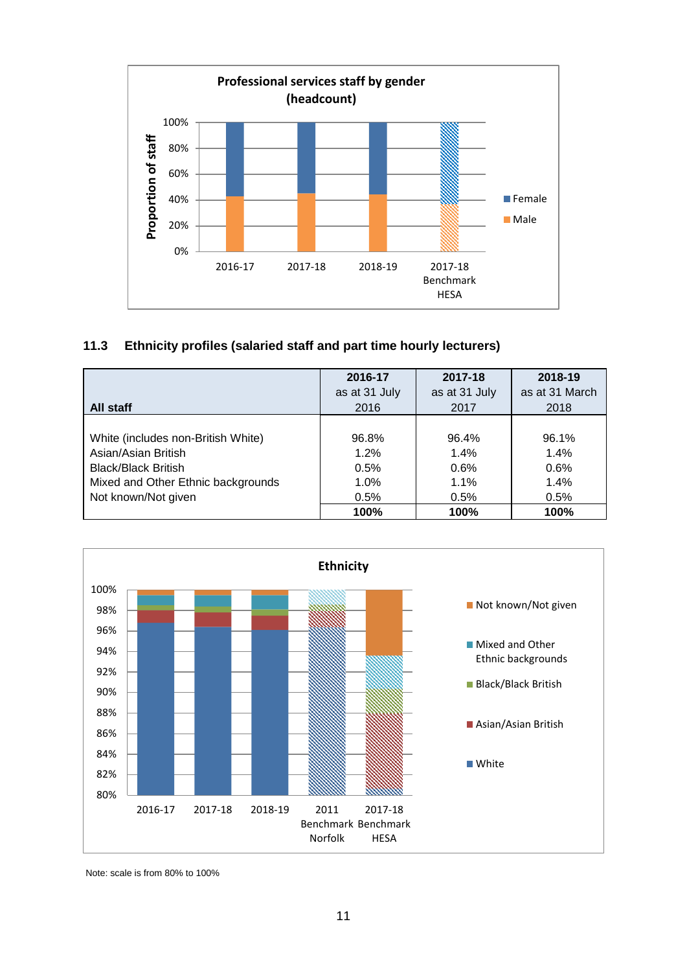

#### **11.3 Ethnicity profiles (salaried staff and part time hourly lecturers)**

|                                    | 2016-17       | 2017-18       | 2018-19        |
|------------------------------------|---------------|---------------|----------------|
|                                    | as at 31 July | as at 31 July | as at 31 March |
| All staff                          | 2016          | 2017          | 2018           |
|                                    |               |               |                |
| White (includes non-British White) | 96.8%         | 96.4%         | 96.1%          |
| Asian/Asian British                | 1.2%          | 1.4%          | 1.4%           |
| <b>Black/Black British</b>         | 0.5%          | 0.6%          | 0.6%           |
| Mixed and Other Ethnic backgrounds | 1.0%          | 1.1%          | 1.4%           |
| Not known/Not given                | 0.5%          | 0.5%          | 0.5%           |
|                                    | 100%          | 100%          | 100%           |



Note: scale is from 80% to 100%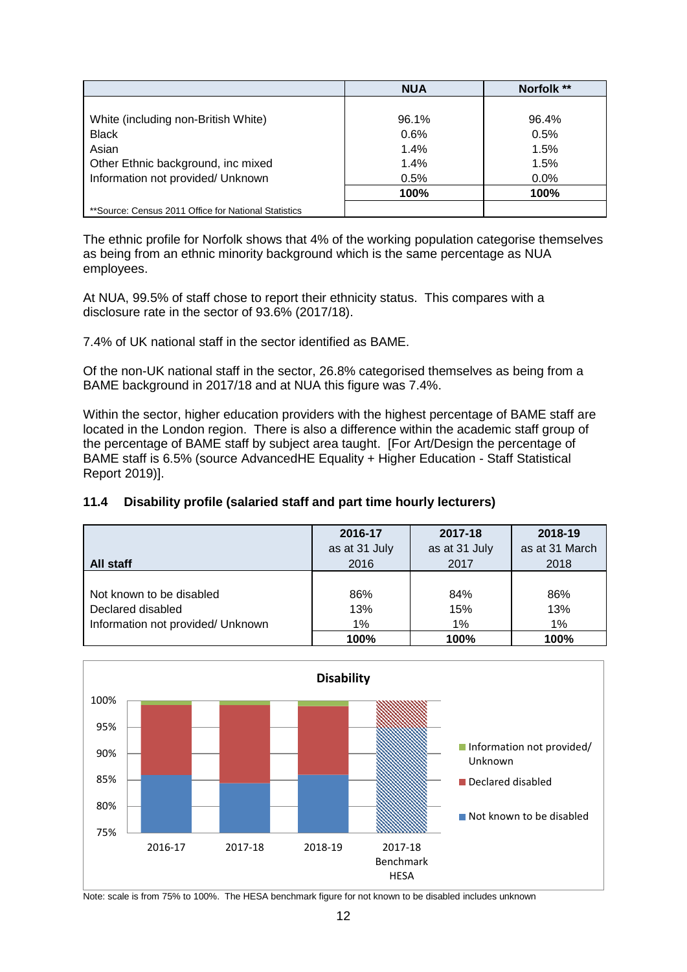|                                                       | <b>NUA</b> | Norfolk ** |
|-------------------------------------------------------|------------|------------|
|                                                       |            |            |
| White (including non-British White)                   | 96.1%      | 96.4%      |
| <b>Black</b>                                          | 0.6%       | 0.5%       |
| Asian                                                 | 1.4%       | 1.5%       |
| Other Ethnic background, inc mixed                    | 1.4%       | 1.5%       |
| Information not provided/ Unknown                     | 0.5%       | $0.0\%$    |
|                                                       | 100%       | 100%       |
| ** Source: Census 2011 Office for National Statistics |            |            |

The ethnic profile for Norfolk shows that 4% of the working population categorise themselves as being from an ethnic minority background which is the same percentage as NUA employees.

At NUA, 99.5% of staff chose to report their ethnicity status. This compares with a disclosure rate in the sector of 93.6% (2017/18).

7.4% of UK national staff in the sector identified as BAME.

Of the non-UK national staff in the sector, 26.8% categorised themselves as being from a BAME background in 2017/18 and at NUA this figure was 7.4%.

Within the sector, higher education providers with the highest percentage of BAME staff are located in the London region. There is also a difference within the academic staff group of the percentage of BAME staff by subject area taught. [For Art/Design the percentage of BAME staff is 6.5% (source AdvancedHE Equality + Higher Education - Staff Statistical Report 2019)].

# **11.4 Disability profile (salaried staff and part time hourly lecturers)**

| All staff                         | 2016-17       | 2017-18       | 2018-19        |
|-----------------------------------|---------------|---------------|----------------|
|                                   | as at 31 July | as at 31 July | as at 31 March |
|                                   | 2016          | 2017          | 2018           |
| Not known to be disabled          | 86%           | 84%           | 86%            |
| Declared disabled                 | 13%           | 15%           | 13%            |
| Information not provided/ Unknown | 1%            | 1%            | 1%             |
|                                   | 100%          | 100%          | 100%           |



Note: scale is from 75% to 100%. The HESA benchmark figure for not known to be disabled includes unknown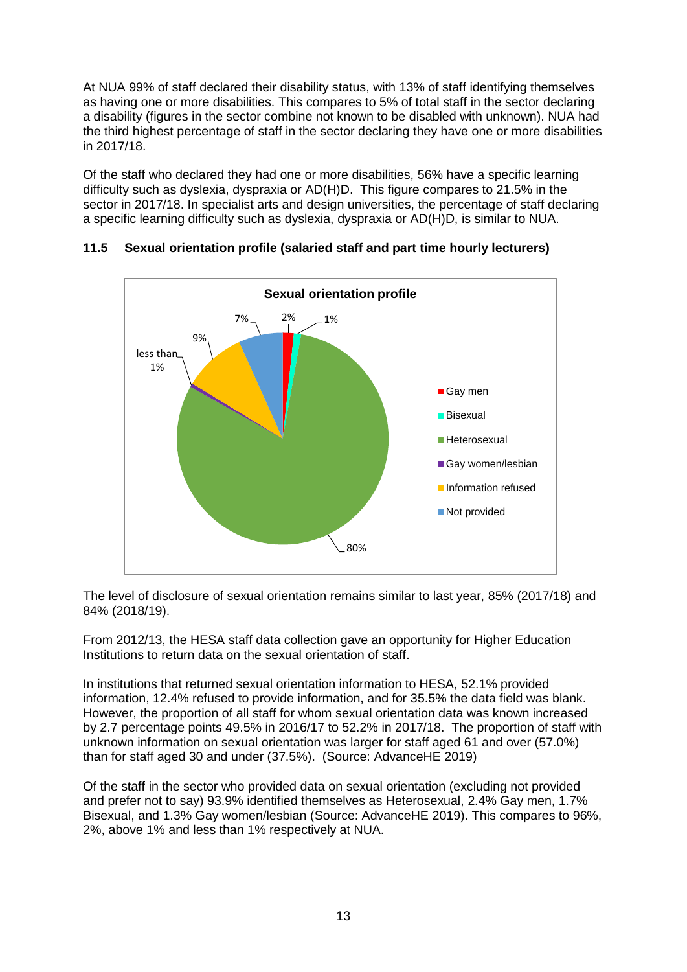At NUA 99% of staff declared their disability status, with 13% of staff identifying themselves as having one or more disabilities. This compares to 5% of total staff in the sector declaring a disability (figures in the sector combine not known to be disabled with unknown). NUA had the third highest percentage of staff in the sector declaring they have one or more disabilities in 2017/18.

Of the staff who declared they had one or more disabilities, 56% have a specific learning difficulty such as dyslexia, dyspraxia or AD(H)D. This figure compares to 21.5% in the sector in 2017/18. In specialist arts and design universities, the percentage of staff declaring a specific learning difficulty such as dyslexia, dyspraxia or AD(H)D, is similar to NUA.



# **11.5 Sexual orientation profile (salaried staff and part time hourly lecturers)**

The level of disclosure of sexual orientation remains similar to last year, 85% (2017/18) and 84% (2018/19).

From 2012/13, the HESA staff data collection gave an opportunity for Higher Education Institutions to return data on the sexual orientation of staff.

In institutions that returned sexual orientation information to HESA, 52.1% provided information, 12.4% refused to provide information, and for 35.5% the data field was blank. However, the proportion of all staff for whom sexual orientation data was known increased by 2.7 percentage points 49.5% in 2016/17 to 52.2% in 2017/18. The proportion of staff with unknown information on sexual orientation was larger for staff aged 61 and over (57.0%) than for staff aged 30 and under (37.5%). (Source: AdvanceHE 2019)

Of the staff in the sector who provided data on sexual orientation (excluding not provided and prefer not to say) 93.9% identified themselves as Heterosexual, 2.4% Gay men, 1.7% Bisexual, and 1.3% Gay women/lesbian (Source: AdvanceHE 2019). This compares to 96%, 2%, above 1% and less than 1% respectively at NUA.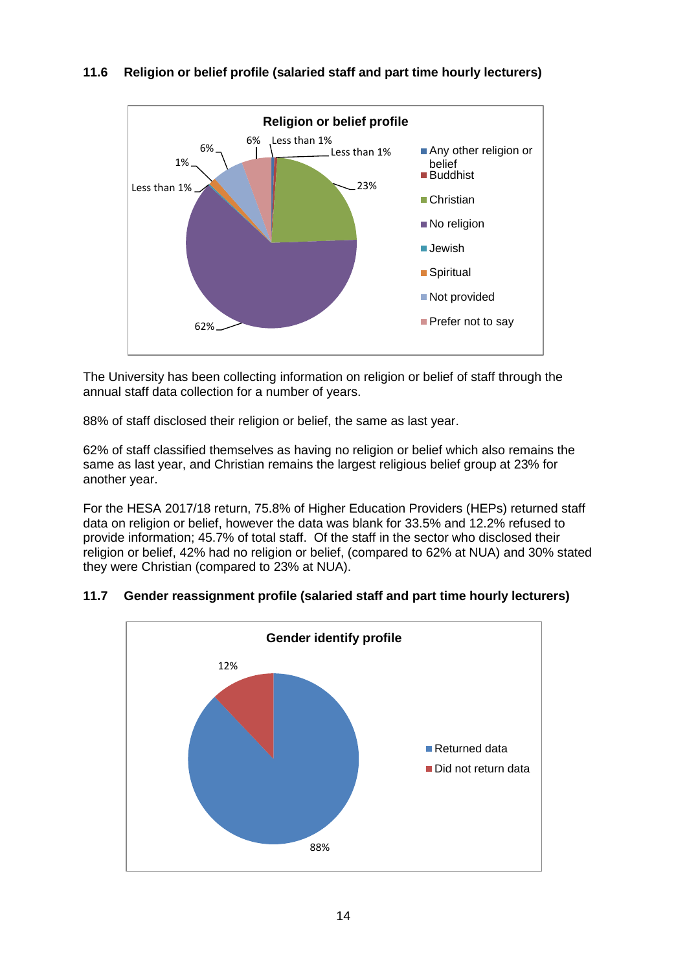

# **11.6 Religion or belief profile (salaried staff and part time hourly lecturers)**

The University has been collecting information on religion or belief of staff through the annual staff data collection for a number of years.

88% of staff disclosed their religion or belief, the same as last year.

62% of staff classified themselves as having no religion or belief which also remains the same as last year, and Christian remains the largest religious belief group at 23% for another year.

For the HESA 2017/18 return, 75.8% of Higher Education Providers (HEPs) returned staff data on religion or belief, however the data was blank for 33.5% and 12.2% refused to provide information; 45.7% of total staff. Of the staff in the sector who disclosed their religion or belief, 42% had no religion or belief, (compared to 62% at NUA) and 30% stated they were Christian (compared to 23% at NUA).



# **11.7 Gender reassignment profile (salaried staff and part time hourly lecturers)**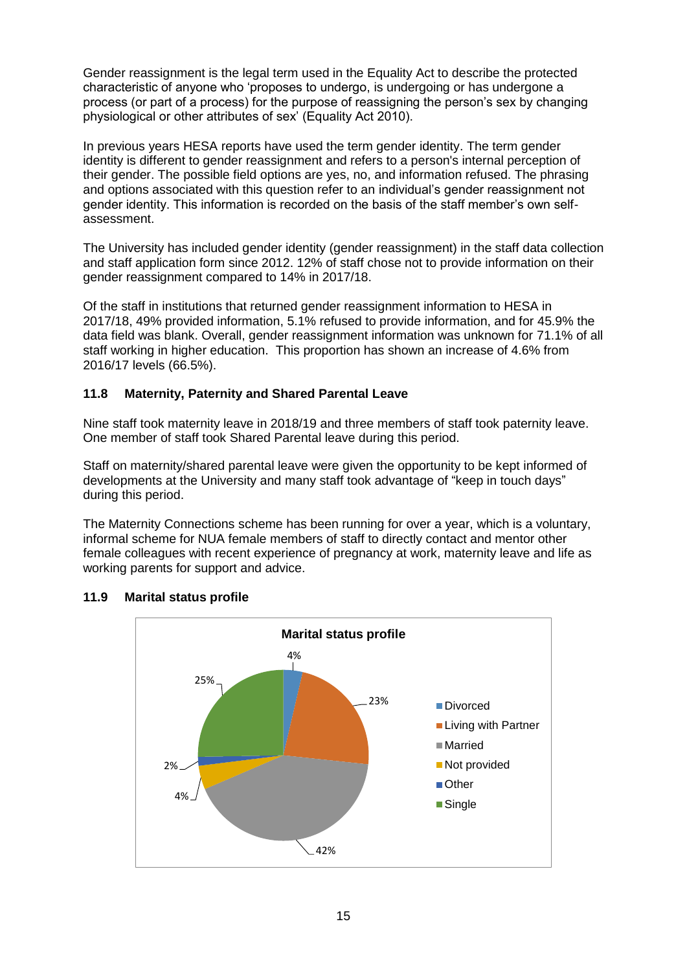Gender reassignment is the legal term used in the Equality Act to describe the protected characteristic of anyone who 'proposes to undergo, is undergoing or has undergone a process (or part of a process) for the purpose of reassigning the person's sex by changing physiological or other attributes of sex' (Equality Act 2010).

In previous years HESA reports have used the term gender identity. The term gender identity is different to gender reassignment and refers to a person's internal perception of their gender. The possible field options are yes, no, and information refused. The phrasing and options associated with this question refer to an individual's gender reassignment not gender identity. This information is recorded on the basis of the staff member's own selfassessment.

The University has included gender identity (gender reassignment) in the staff data collection and staff application form since 2012. 12% of staff chose not to provide information on their gender reassignment compared to 14% in 2017/18.

Of the staff in institutions that returned gender reassignment information to HESA in 2017/18, 49% provided information, 5.1% refused to provide information, and for 45.9% the data field was blank. Overall, gender reassignment information was unknown for 71.1% of all staff working in higher education. This proportion has shown an increase of 4.6% from 2016/17 levels (66.5%).

# **11.8 Maternity, Paternity and Shared Parental Leave**

Nine staff took maternity leave in 2018/19 and three members of staff took paternity leave. One member of staff took Shared Parental leave during this period.

Staff on maternity/shared parental leave were given the opportunity to be kept informed of developments at the University and many staff took advantage of "keep in touch days" during this period.

The Maternity Connections scheme has been running for over a year, which is a voluntary, informal scheme for NUA female members of staff to directly contact and mentor other female colleagues with recent experience of pregnancy at work, maternity leave and life as working parents for support and advice.



# **11.9 Marital status profile**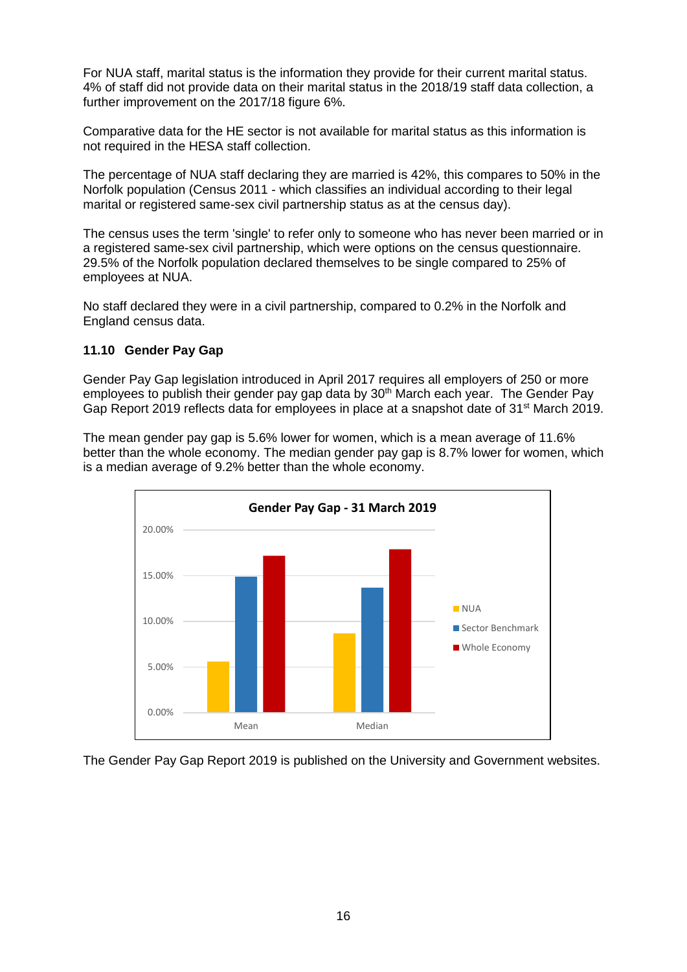For NUA staff, marital status is the information they provide for their current marital status. 4% of staff did not provide data on their marital status in the 2018/19 staff data collection, a further improvement on the 2017/18 figure 6%.

Comparative data for the HE sector is not available for marital status as this information is not required in the HESA staff collection.

The percentage of NUA staff declaring they are married is 42%, this compares to 50% in the Norfolk population (Census 2011 - which classifies an individual according to their legal marital or registered same-sex civil partnership status as at the census day).

The census uses the term 'single' to refer only to someone who has never been married or in a registered same-sex civil partnership, which were options on the census questionnaire. 29.5% of the Norfolk population declared themselves to be single compared to 25% of employees at NUA.

No staff declared they were in a civil partnership, compared to 0.2% in the Norfolk and England census data.

#### **11.10 Gender Pay Gap**

Gender Pay Gap legislation introduced in April 2017 requires all employers of 250 or more employees to publish their gender pay gap data by 30<sup>th</sup> March each year. The Gender Pay Gap Report 2019 reflects data for employees in place at a snapshot date of 31<sup>st</sup> March 2019.

The mean gender pay gap is 5.6% lower for women, which is a mean average of 11.6% better than the whole economy. The median gender pay gap is 8.7% lower for women, which is a median average of 9.2% better than the whole economy.



The Gender Pay Gap Report 2019 is published on the University and Government websites.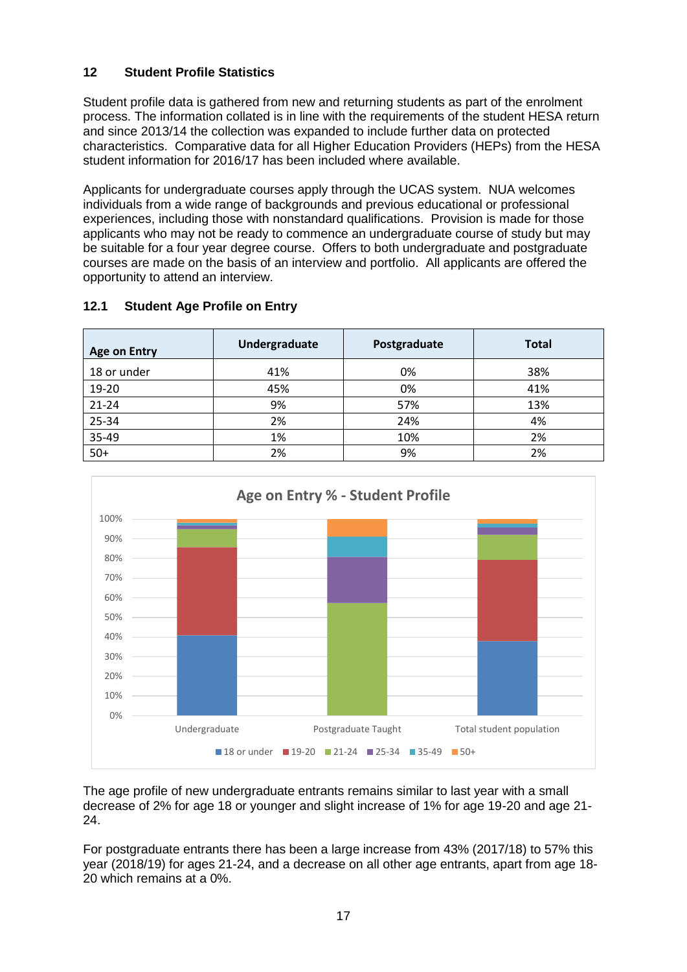# **12 Student Profile Statistics**

Student profile data is gathered from new and returning students as part of the enrolment process. The information collated is in line with the requirements of the student HESA return and since 2013/14 the collection was expanded to include further data on protected characteristics. Comparative data for all Higher Education Providers (HEPs) from the HESA student information for 2016/17 has been included where available.

Applicants for undergraduate courses apply through the UCAS system. NUA welcomes individuals from a wide range of backgrounds and previous educational or professional experiences, including those with nonstandard qualifications. Provision is made for those applicants who may not be ready to commence an undergraduate course of study but may be suitable for a four year degree course. Offers to both undergraduate and postgraduate courses are made on the basis of an interview and portfolio. All applicants are offered the opportunity to attend an interview.

| <b>Age on Entry</b> | Undergraduate | Postgraduate | <b>Total</b> |
|---------------------|---------------|--------------|--------------|
| 18 or under         | 41%           | 0%           | 38%          |
| 19-20               | 45%           | 0%           | 41%          |
| 21-24               | 9%            | 57%          | 13%          |
| 25-34               | 2%            | 24%          | 4%           |
| 35-49               | 1%            | 10%          | 2%           |
| $50+$               | 2%            | 9%           | 2%           |

# **12.1 Student Age Profile on Entry**



The age profile of new undergraduate entrants remains similar to last year with a small decrease of 2% for age 18 or younger and slight increase of 1% for age 19-20 and age 21- 24.

For postgraduate entrants there has been a large increase from 43% (2017/18) to 57% this year (2018/19) for ages 21-24, and a decrease on all other age entrants, apart from age 18- 20 which remains at a 0%.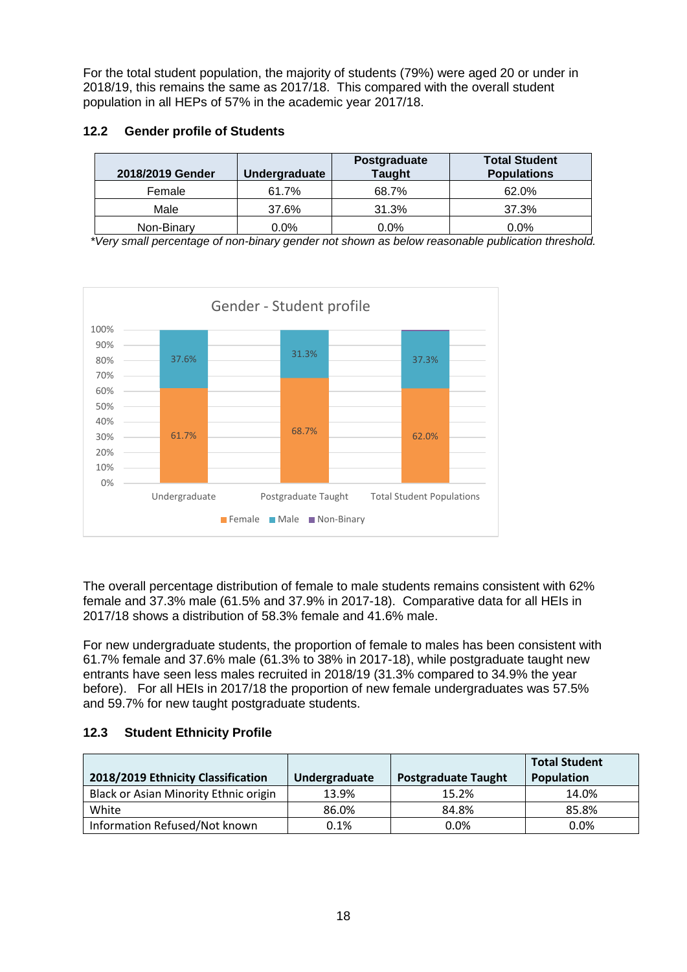For the total student population, the majority of students (79%) were aged 20 or under in 2018/19, this remains the same as 2017/18. This compared with the overall student population in all HEPs of 57% in the academic year 2017/18.

# **12.2 Gender profile of Students**

| 2018/2019 Gender | Undergraduate | Postgraduate<br><b>Taught</b> | <b>Total Student</b><br><b>Populations</b> |
|------------------|---------------|-------------------------------|--------------------------------------------|
| Female           | 61.7%         | 68.7%                         | 62.0%                                      |
| Male             | 37.6%         | 31.3%                         | 37.3%                                      |
| Non-Binary       | $0.0\%$       | $0.0\%$                       | 0.0%                                       |

*\*Very small percentage of non-binary gender not shown as below reasonable publication threshold.*



The overall percentage distribution of female to male students remains consistent with 62% female and 37.3% male (61.5% and 37.9% in 2017-18). Comparative data for all HEIs in 2017/18 shows a distribution of 58.3% female and 41.6% male.

For new undergraduate students, the proportion of female to males has been consistent with 61.7% female and 37.6% male (61.3% to 38% in 2017-18), while postgraduate taught new entrants have seen less males recruited in 2018/19 (31.3% compared to 34.9% the year before). For all HEIs in 2017/18 the proportion of new female undergraduates was 57.5% and 59.7% for new taught postgraduate students.

# **12.3 Student Ethnicity Profile**

| 2018/2019 Ethnicity Classification    | Undergraduate | <b>Postgraduate Taught</b> | <b>Total Student</b><br>Population |
|---------------------------------------|---------------|----------------------------|------------------------------------|
| Black or Asian Minority Ethnic origin | 13.9%         | 15.2%                      | 14.0%                              |
| White                                 | 86.0%         | 84.8%                      | 85.8%                              |
| Information Refused/Not known         | 0.1%          | 0.0%                       | 0.0%                               |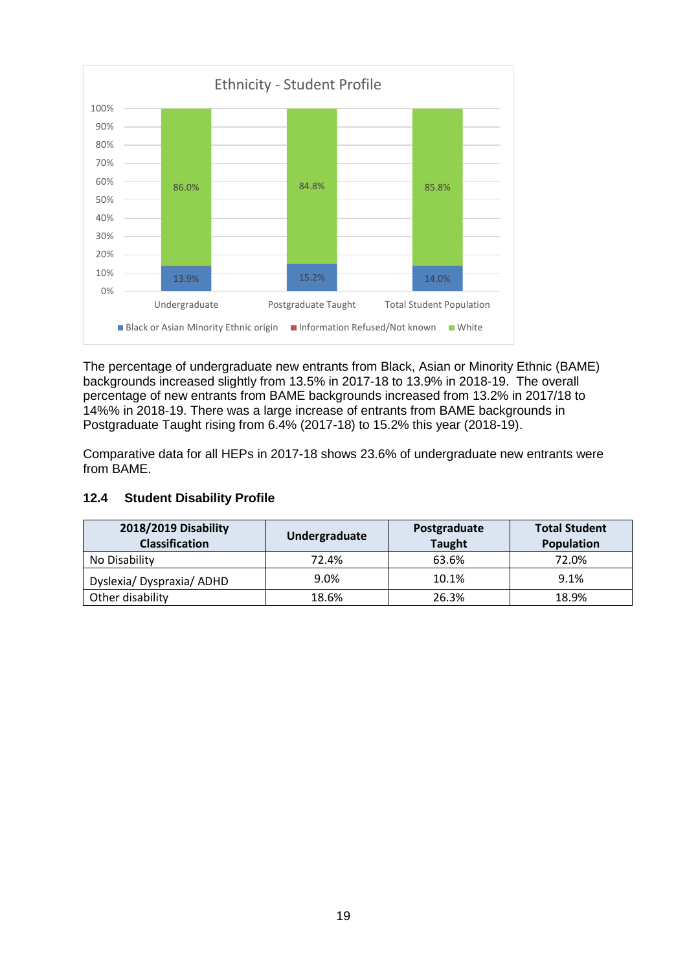

The percentage of undergraduate new entrants from Black, Asian or Minority Ethnic (BAME) backgrounds increased slightly from 13.5% in 2017-18 to 13.9% in 2018-19. The overall percentage of new entrants from BAME backgrounds increased from 13.2% in 2017/18 to 14%% in 2018-19. There was a large increase of entrants from BAME backgrounds in Postgraduate Taught rising from 6.4% (2017-18) to 15.2% this year (2018-19).

Comparative data for all HEPs in 2017-18 shows 23.6% of undergraduate new entrants were from BAME.

# **12.4 Student Disability Profile**

| 2018/2019 Disability<br><b>Classification</b> | Undergraduate | Postgraduate<br><b>Taught</b> | <b>Total Student</b><br>Population |
|-----------------------------------------------|---------------|-------------------------------|------------------------------------|
| No Disability                                 | 72.4%         | 63.6%                         | 72.0%                              |
| Dyslexia/Dyspraxia/ADHD                       | 9.0%          | 10.1%                         | 9.1%                               |
| Other disability                              | 18.6%         | 26.3%                         | 18.9%                              |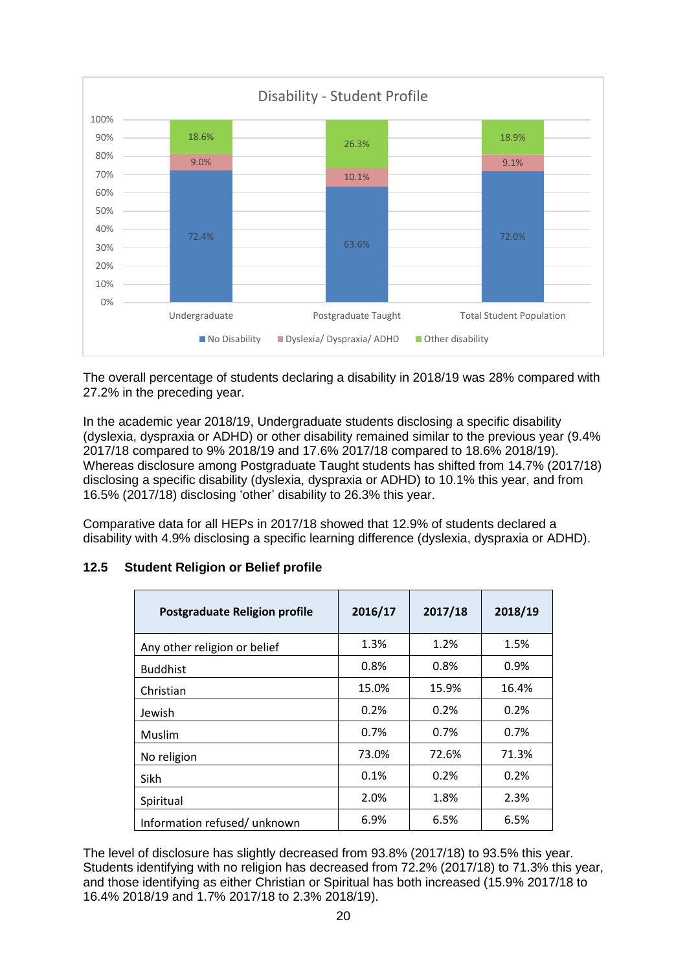

The overall percentage of students declaring a disability in 2018/19 was 28% compared with 27.2% in the preceding year.

In the academic year 2018/19, Undergraduate students disclosing a specific disability (dyslexia, dyspraxia or ADHD) or other disability remained similar to the previous year (9.4% 2017/18 compared to 9% 2018/19 and 17.6% 2017/18 compared to 18.6% 2018/19). Whereas disclosure among Postgraduate Taught students has shifted from 14.7% (2017/18) disclosing a specific disability (dyslexia, dyspraxia or ADHD) to 10.1% this year, and from 16.5% (2017/18) disclosing 'other' disability to 26.3% this year.

Comparative data for all HEPs in 2017/18 showed that 12.9% of students declared a disability with 4.9% disclosing a specific learning difference (dyslexia, dyspraxia or ADHD).

| <b>Postgraduate Religion profile</b> | 2016/17 | 2017/18 | 2018/19 |
|--------------------------------------|---------|---------|---------|
| Any other religion or belief         | 1.3%    | 1.2%    | 1.5%    |
| <b>Buddhist</b>                      | 0.8%    | 0.8%    | 0.9%    |
| Christian                            | 15.0%   | 15.9%   | 16.4%   |
| Jewish                               | 0.2%    | 0.2%    | 0.2%    |
| Muslim                               | 0.7%    | 0.7%    | 0.7%    |
| No religion                          | 73.0%   | 72.6%   | 71.3%   |
| Sikh                                 | 0.1%    | 0.2%    | 0.2%    |
| Spiritual                            | 2.0%    | 1.8%    | 2.3%    |
| Information refused/ unknown         | 6.9%    | 6.5%    | 6.5%    |

#### **12.5 Student Religion or Belief profile**

The level of disclosure has slightly decreased from 93.8% (2017/18) to 93.5% this year. Students identifying with no religion has decreased from 72.2% (2017/18) to 71.3% this year, and those identifying as either Christian or Spiritual has both increased (15.9% 2017/18 to 16.4% 2018/19 and 1.7% 2017/18 to 2.3% 2018/19).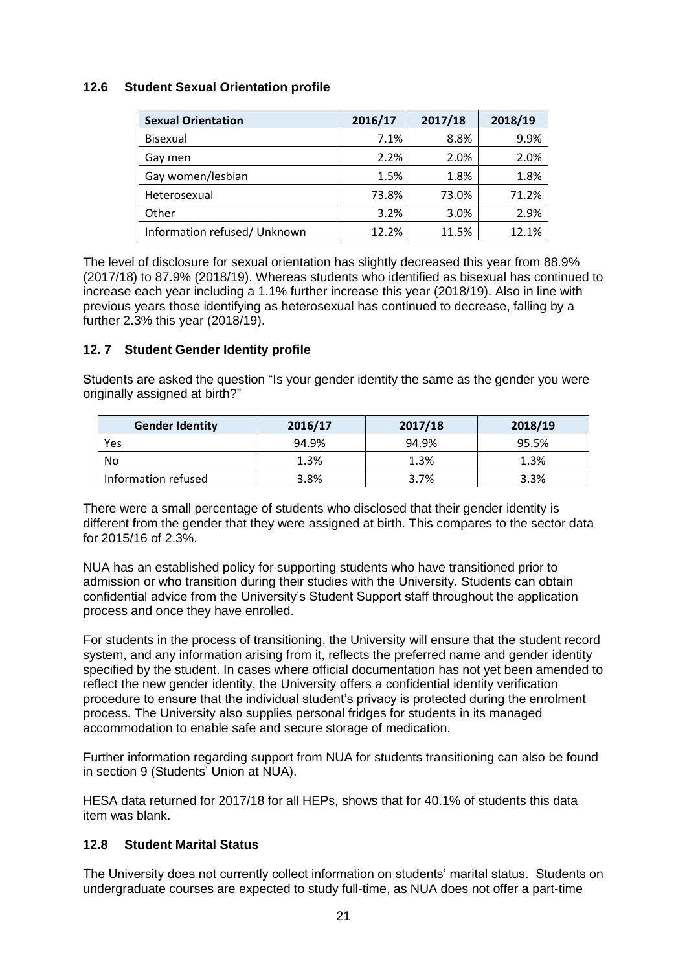## **12.6 Student Sexual Orientation profile**

| <b>Sexual Orientation</b>    | 2016/17 | 2017/18 | 2018/19 |
|------------------------------|---------|---------|---------|
| <b>Bisexual</b>              | 7.1%    | 8.8%    | 9.9%    |
| Gay men                      | 2.2%    | 2.0%    | 2.0%    |
| Gay women/lesbian            | 1.5%    | 1.8%    | 1.8%    |
| Heterosexual                 | 73.8%   | 73.0%   | 71.2%   |
| Other                        | 3.2%    | 3.0%    | 2.9%    |
| Information refused/ Unknown | 12.2%   | 11.5%   | 12.1%   |

The level of disclosure for sexual orientation has slightly decreased this year from 88.9% (2017/18) to 87.9% (2018/19). Whereas students who identified as bisexual has continued to increase each year including a 1.1% further increase this year (2018/19). Also in line with previous years those identifying as heterosexual has continued to decrease, falling by a further 2.3% this year (2018/19).

# **12. 7 Student Gender Identity profile**

Students are asked the question "Is your gender identity the same as the gender you were originally assigned at birth?"

| <b>Gender Identity</b> | 2016/17 | 2017/18 | 2018/19 |
|------------------------|---------|---------|---------|
| Yes                    | 94.9%   | 94.9%   | 95.5%   |
| No                     | 1.3%    | 1.3%    | 1.3%    |
| Information refused    | 3.8%    | 3.7%    | 3.3%    |

There were a small percentage of students who disclosed that their gender identity is different from the gender that they were assigned at birth. This compares to the sector data for 2015/16 of 2.3%.

NUA has an established policy for supporting students who have transitioned prior to admission or who transition during their studies with the University. Students can obtain confidential advice from the University's Student Support staff throughout the application process and once they have enrolled.

For students in the process of transitioning, the University will ensure that the student record system, and any information arising from it, reflects the preferred name and gender identity specified by the student. In cases where official documentation has not yet been amended to reflect the new gender identity, the University offers a confidential identity verification procedure to ensure that the individual student's privacy is protected during the enrolment process. The University also supplies personal fridges for students in its managed accommodation to enable safe and secure storage of medication.

Further information regarding support from NUA for students transitioning can also be found in section 9 (Students' Union at NUA).

HESA data returned for 2017/18 for all HEPs, shows that for 40.1% of students this data item was blank.

# **12.8 Student Marital Status**

The University does not currently collect information on students' marital status. Students on undergraduate courses are expected to study full-time, as NUA does not offer a part-time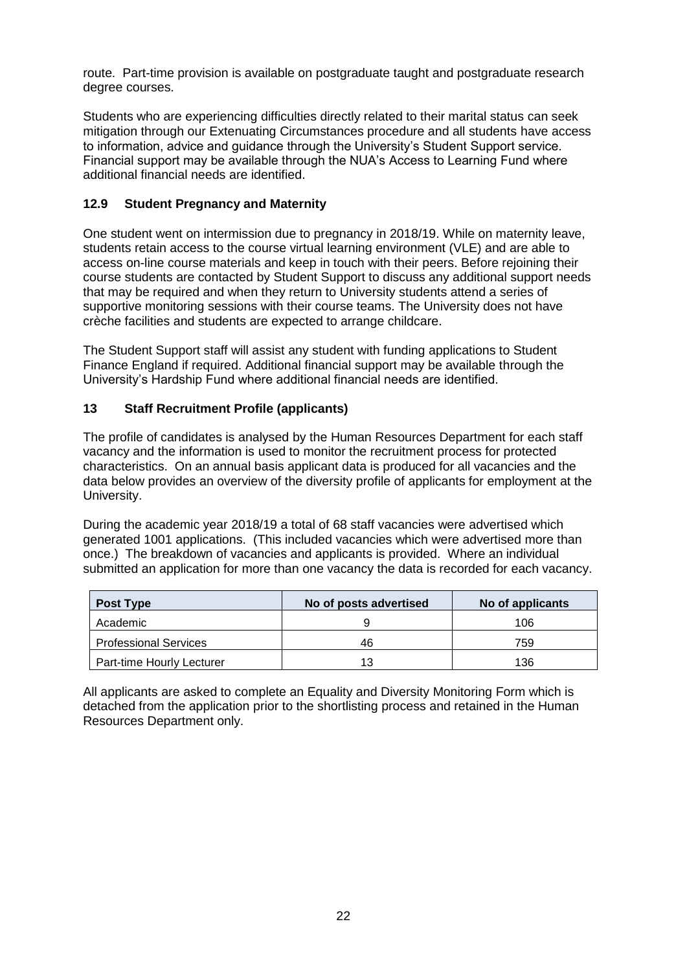route. Part-time provision is available on postgraduate taught and postgraduate research degree courses.

Students who are experiencing difficulties directly related to their marital status can seek mitigation through our Extenuating Circumstances procedure and all students have access to information, advice and guidance through the University's Student Support service. Financial support may be available through the NUA's Access to Learning Fund where additional financial needs are identified.

# **12.9 Student Pregnancy and Maternity**

One student went on intermission due to pregnancy in 2018/19. While on maternity leave, students retain access to the course virtual learning environment (VLE) and are able to access on-line course materials and keep in touch with their peers. Before rejoining their course students are contacted by Student Support to discuss any additional support needs that may be required and when they return to University students attend a series of supportive monitoring sessions with their course teams. The University does not have crèche facilities and students are expected to arrange childcare.

The Student Support staff will assist any student with funding applications to Student Finance England if required. Additional financial support may be available through the University's Hardship Fund where additional financial needs are identified.

#### **13 Staff Recruitment Profile (applicants)**

The profile of candidates is analysed by the Human Resources Department for each staff vacancy and the information is used to monitor the recruitment process for protected characteristics. On an annual basis applicant data is produced for all vacancies and the data below provides an overview of the diversity profile of applicants for employment at the University.

During the academic year 2018/19 a total of 68 staff vacancies were advertised which generated 1001 applications. (This included vacancies which were advertised more than once.) The breakdown of vacancies and applicants is provided. Where an individual submitted an application for more than one vacancy the data is recorded for each vacancy.

| Post Type                    | No of posts advertised | No of applicants |
|------------------------------|------------------------|------------------|
| Academic                     |                        | 106              |
| <b>Professional Services</b> | 46                     | 759              |
| Part-time Hourly Lecturer    | 13                     | 136              |

All applicants are asked to complete an Equality and Diversity Monitoring Form which is detached from the application prior to the shortlisting process and retained in the Human Resources Department only.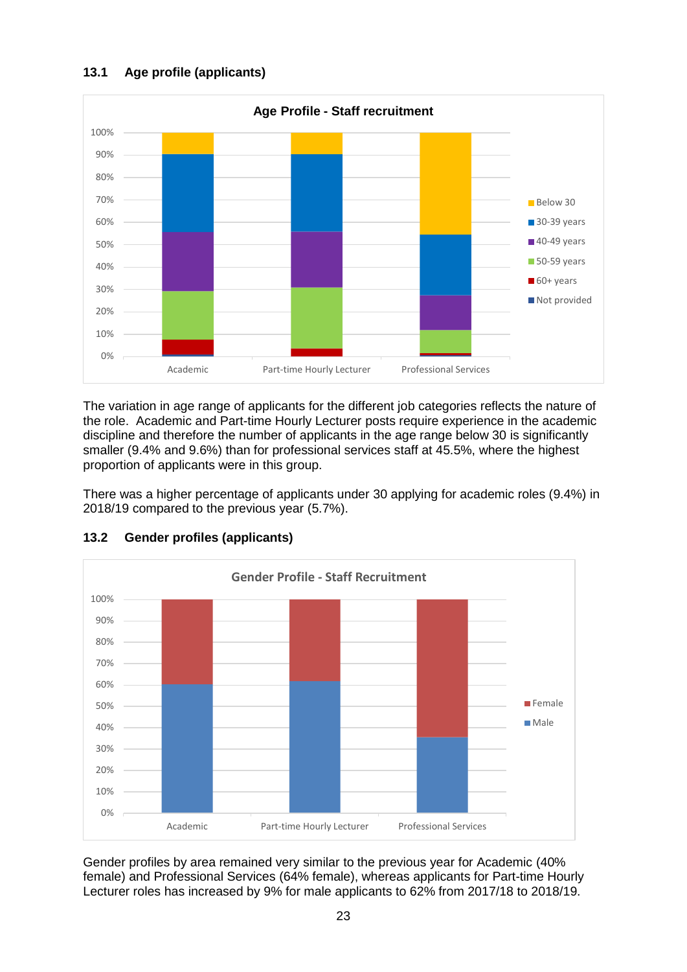# **13.1 Age profile (applicants)**



The variation in age range of applicants for the different job categories reflects the nature of the role. Academic and Part-time Hourly Lecturer posts require experience in the academic discipline and therefore the number of applicants in the age range below 30 is significantly smaller (9.4% and 9.6%) than for professional services staff at 45.5%, where the highest proportion of applicants were in this group.

There was a higher percentage of applicants under 30 applying for academic roles (9.4%) in 2018/19 compared to the previous year (5.7%).



# **13.2 Gender profiles (applicants)**

Gender profiles by area remained very similar to the previous year for Academic (40% female) and Professional Services (64% female), whereas applicants for Part-time Hourly Lecturer roles has increased by 9% for male applicants to 62% from 2017/18 to 2018/19.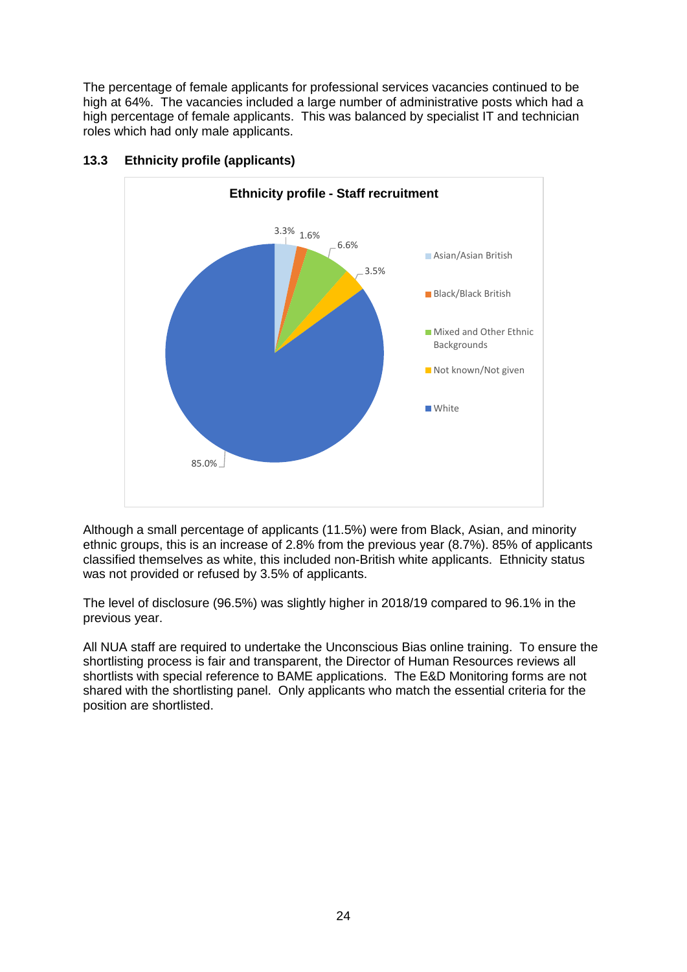The percentage of female applicants for professional services vacancies continued to be high at 64%. The vacancies included a large number of administrative posts which had a high percentage of female applicants. This was balanced by specialist IT and technician roles which had only male applicants.



# **13.3 Ethnicity profile (applicants)**

Although a small percentage of applicants (11.5%) were from Black, Asian, and minority ethnic groups, this is an increase of 2.8% from the previous year (8.7%). 85% of applicants classified themselves as white, this included non-British white applicants. Ethnicity status was not provided or refused by 3.5% of applicants.

The level of disclosure (96.5%) was slightly higher in 2018/19 compared to 96.1% in the previous year.

All NUA staff are required to undertake the Unconscious Bias online training. To ensure the shortlisting process is fair and transparent, the Director of Human Resources reviews all shortlists with special reference to BAME applications. The E&D Monitoring forms are not shared with the shortlisting panel. Only applicants who match the essential criteria for the position are shortlisted.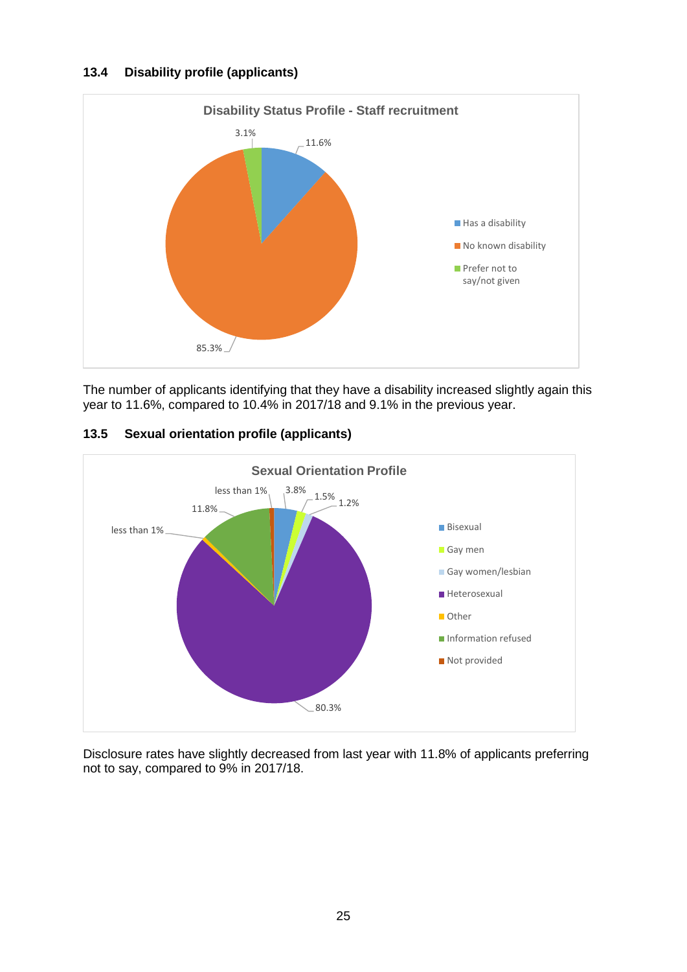#### **13.4 Disability profile (applicants)**



The number of applicants identifying that they have a disability increased slightly again this year to 11.6%, compared to 10.4% in 2017/18 and 9.1% in the previous year.



# **13.5 Sexual orientation profile (applicants)**

Disclosure rates have slightly decreased from last year with 11.8% of applicants preferring not to say, compared to 9% in 2017/18.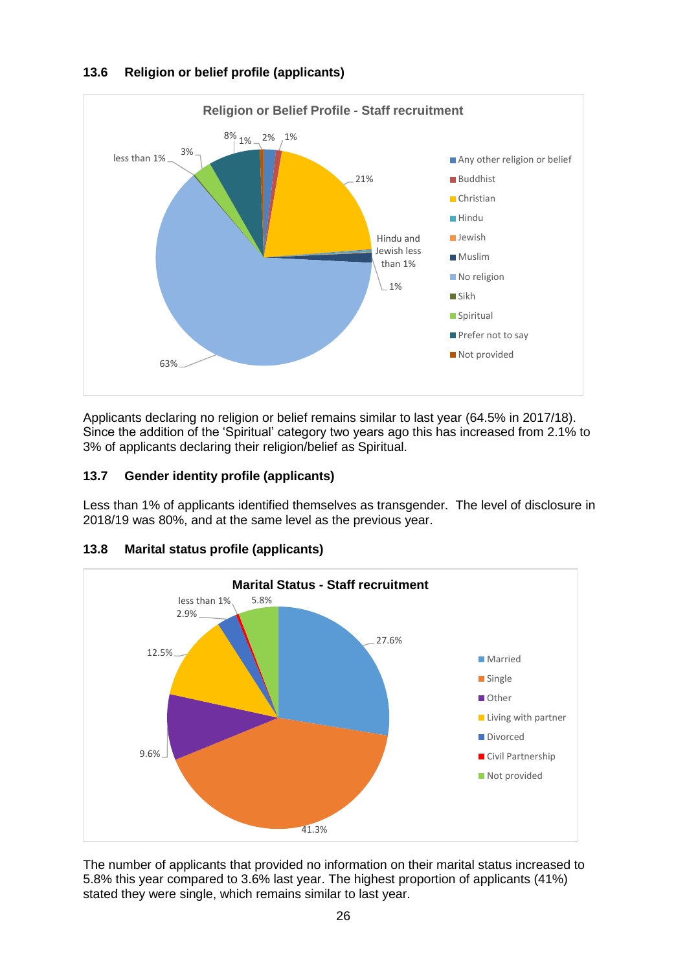# **13.6 Religion or belief profile (applicants)**



Applicants declaring no religion or belief remains similar to last year (64.5% in 2017/18). Since the addition of the 'Spiritual' category two years ago this has increased from 2.1% to 3% of applicants declaring their religion/belief as Spiritual.

# **13.7 Gender identity profile (applicants)**

Less than 1% of applicants identified themselves as transgender. The level of disclosure in 2018/19 was 80%, and at the same level as the previous year.



# **13.8 Marital status profile (applicants)**

The number of applicants that provided no information on their marital status increased to 5.8% this year compared to 3.6% last year. The highest proportion of applicants (41%) stated they were single, which remains similar to last year.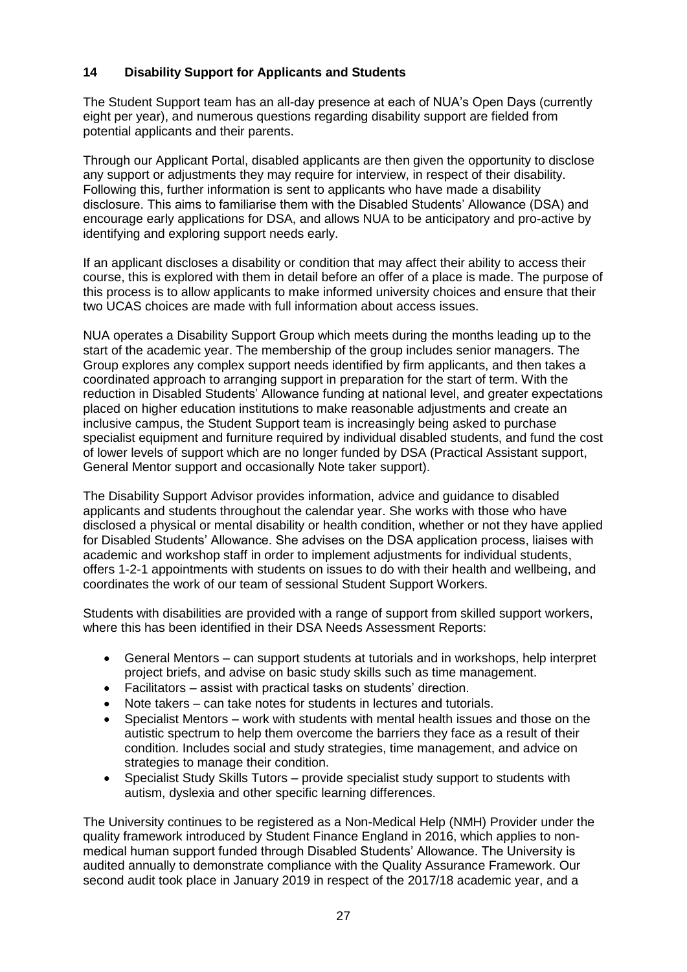#### **14 Disability Support for Applicants and Students**

The Student Support team has an all-day presence at each of NUA's Open Days (currently eight per year), and numerous questions regarding disability support are fielded from potential applicants and their parents.

Through our Applicant Portal, disabled applicants are then given the opportunity to disclose any support or adjustments they may require for interview, in respect of their disability. Following this, further information is sent to applicants who have made a disability disclosure. This aims to familiarise them with the Disabled Students' Allowance (DSA) and encourage early applications for DSA, and allows NUA to be anticipatory and pro-active by identifying and exploring support needs early.

If an applicant discloses a disability or condition that may affect their ability to access their course, this is explored with them in detail before an offer of a place is made. The purpose of this process is to allow applicants to make informed university choices and ensure that their two UCAS choices are made with full information about access issues.

NUA operates a Disability Support Group which meets during the months leading up to the start of the academic year. The membership of the group includes senior managers. The Group explores any complex support needs identified by firm applicants, and then takes a coordinated approach to arranging support in preparation for the start of term. With the reduction in Disabled Students' Allowance funding at national level, and greater expectations placed on higher education institutions to make reasonable adjustments and create an inclusive campus, the Student Support team is increasingly being asked to purchase specialist equipment and furniture required by individual disabled students, and fund the cost of lower levels of support which are no longer funded by DSA (Practical Assistant support, General Mentor support and occasionally Note taker support).

The Disability Support Advisor provides information, advice and guidance to disabled applicants and students throughout the calendar year. She works with those who have disclosed a physical or mental disability or health condition, whether or not they have applied for Disabled Students' Allowance. She advises on the DSA application process, liaises with academic and workshop staff in order to implement adjustments for individual students, offers 1-2-1 appointments with students on issues to do with their health and wellbeing, and coordinates the work of our team of sessional Student Support Workers.

Students with disabilities are provided with a range of support from skilled support workers, where this has been identified in their DSA Needs Assessment Reports:

- General Mentors can support students at tutorials and in workshops, help interpret project briefs, and advise on basic study skills such as time management.
- Facilitators assist with practical tasks on students' direction.
- Note takers can take notes for students in lectures and tutorials.
- Specialist Mentors work with students with mental health issues and those on the autistic spectrum to help them overcome the barriers they face as a result of their condition. Includes social and study strategies, time management, and advice on strategies to manage their condition.
- Specialist Study Skills Tutors provide specialist study support to students with autism, dyslexia and other specific learning differences.

The University continues to be registered as a Non-Medical Help (NMH) Provider under the quality framework introduced by Student Finance England in 2016, which applies to nonmedical human support funded through Disabled Students' Allowance. The University is audited annually to demonstrate compliance with the Quality Assurance Framework. Our second audit took place in January 2019 in respect of the 2017/18 academic year, and a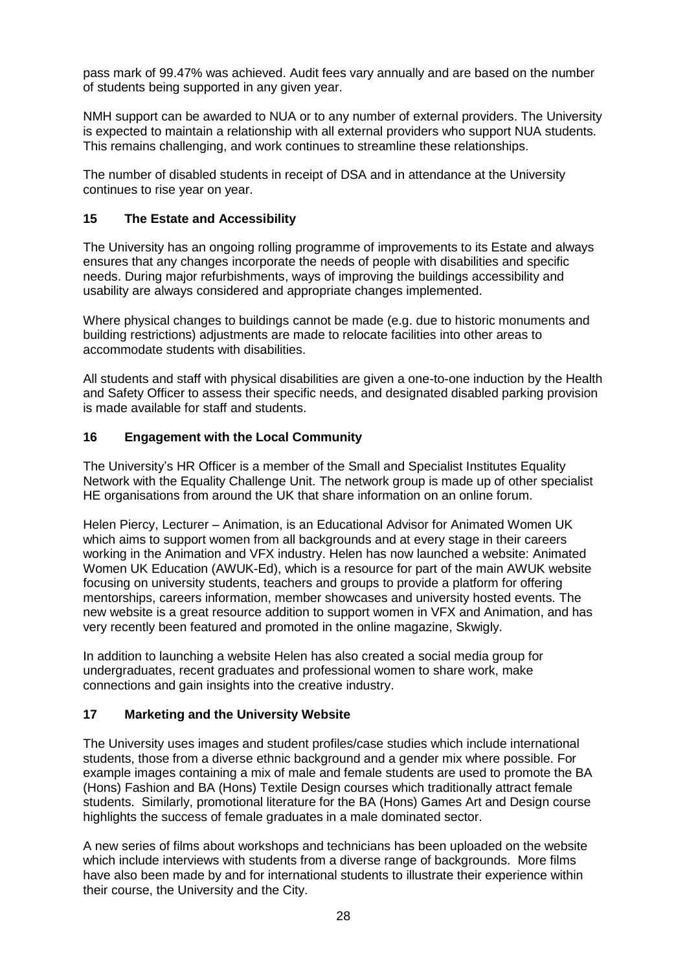pass mark of 99.47% was achieved. Audit fees vary annually and are based on the number of students being supported in any given year.

NMH support can be awarded to NUA or to any number of external providers. The University is expected to maintain a relationship with all external providers who support NUA students. This remains challenging, and work continues to streamline these relationships.

The number of disabled students in receipt of DSA and in attendance at the University continues to rise year on year.

#### **15 The Estate and Accessibility**

The University has an ongoing rolling programme of improvements to its Estate and always ensures that any changes incorporate the needs of people with disabilities and specific needs. During major refurbishments, ways of improving the buildings accessibility and usability are always considered and appropriate changes implemented.

Where physical changes to buildings cannot be made (e.g. due to historic monuments and building restrictions) adjustments are made to relocate facilities into other areas to accommodate students with disabilities.

All students and staff with physical disabilities are given a one-to-one induction by the Health and Safety Officer to assess their specific needs, and designated disabled parking provision is made available for staff and students.

#### **16 Engagement with the Local Community**

The University's HR Officer is a member of the Small and Specialist Institutes Equality Network with the Equality Challenge Unit. The network group is made up of other specialist HE organisations from around the UK that share information on an online forum.

Helen Piercy, Lecturer – Animation, is an Educational Advisor for Animated Women UK which aims to support women from all backgrounds and at every stage in their careers working in the Animation and VFX industry. Helen has now launched a website: Animated Women UK Education (AWUK-Ed), which is a resource for part of the main AWUK website focusing on university students, teachers and groups to provide a platform for offering mentorships, careers information, member showcases and university hosted events. The new website is a great resource addition to support women in VFX and Animation, and has very recently been featured and promoted in the online magazine, Skwigly.

In addition to launching a website Helen has also created a social media group for undergraduates, recent graduates and professional women to share work, make connections and gain insights into the creative industry.

#### **17 Marketing and the University Website**

The University uses images and student profiles/case studies which include international students, those from a diverse ethnic background and a gender mix where possible. For example images containing a mix of male and female students are used to promote the BA (Hons) Fashion and BA (Hons) Textile Design courses which traditionally attract female students. Similarly, promotional literature for the BA (Hons) Games Art and Design course highlights the success of female graduates in a male dominated sector.

A new series of films about workshops and technicians has been uploaded on the website which include interviews with students from a diverse range of backgrounds. More films have also been made by and for international students to illustrate their experience within their course, the University and the City.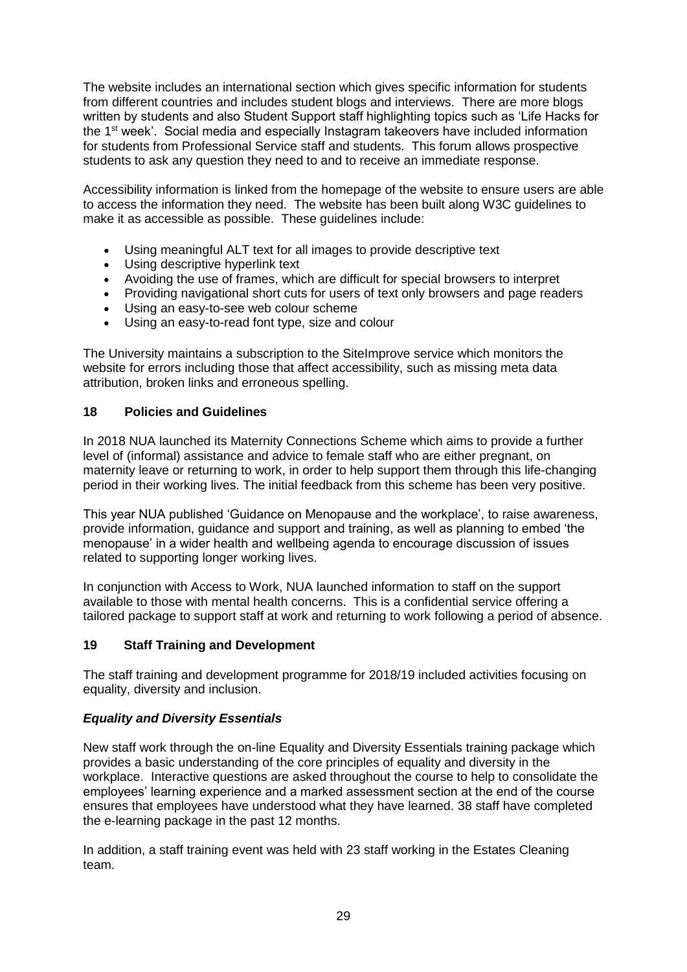The website includes an international section which gives specific information for students from different countries and includes student blogs and interviews. There are more blogs written by students and also Student Support staff highlighting topics such as 'Life Hacks for the 1<sup>st</sup> week'. Social media and especially Instagram takeovers have included information for students from Professional Service staff and students. This forum allows prospective students to ask any question they need to and to receive an immediate response.

Accessibility information is linked from the homepage of the website to ensure users are able to access the information they need. The website has been built along W3C guidelines to make it as accessible as possible. These guidelines include:

- Using meaningful ALT text for all images to provide descriptive text<br>• Using descriptive hyperlink text
- Using descriptive hyperlink text
- Avoiding the use of frames, which are difficult for special browsers to interpret
- Providing navigational short cuts for users of text only browsers and page readers
- Using an easy-to-see web colour scheme
- Using an easy-to-read font type, size and colour

The University maintains a subscription to the SiteImprove service which monitors the website for errors including those that affect accessibility, such as missing meta data attribution, broken links and erroneous spelling.

#### **18 Policies and Guidelines**

In 2018 NUA launched its Maternity Connections Scheme which aims to provide a further level of (informal) assistance and advice to female staff who are either pregnant, on maternity leave or returning to work, in order to help support them through this life-changing period in their working lives. The initial feedback from this scheme has been very positive.

This year NUA published 'Guidance on Menopause and the workplace', to raise awareness, provide information, guidance and support and training, as well as planning to embed 'the menopause' in a wider health and wellbeing agenda to encourage discussion of issues related to supporting longer working lives.

In conjunction with Access to Work, NUA launched information to staff on the support available to those with mental health concerns. This is a confidential service offering a tailored package to support staff at work and returning to work following a period of absence.

# **19 Staff Training and Development**

The staff training and development programme for 2018/19 included activities focusing on equality, diversity and inclusion.

# *Equality and Diversity Essentials*

New staff work through the on-line Equality and Diversity Essentials training package which provides a basic understanding of the core principles of equality and diversity in the workplace. Interactive questions are asked throughout the course to help to consolidate the employees' learning experience and a marked assessment section at the end of the course ensures that employees have understood what they have learned. 38 staff have completed the e-learning package in the past 12 months.

In addition, a staff training event was held with 23 staff working in the Estates Cleaning team.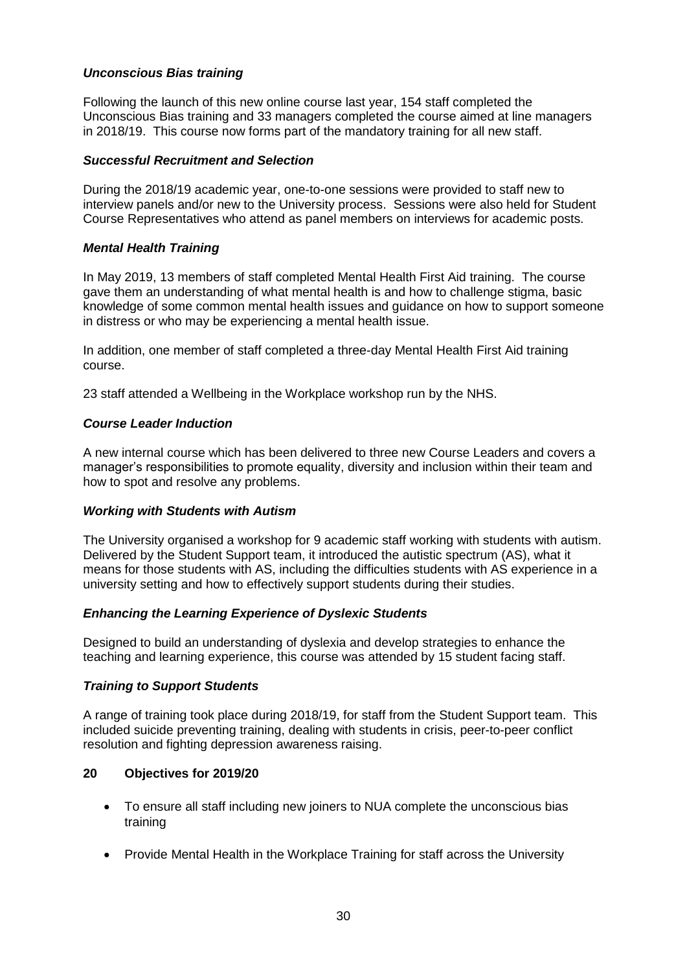#### *Unconscious Bias training*

Following the launch of this new online course last year, 154 staff completed the Unconscious Bias training and 33 managers completed the course aimed at line managers in 2018/19. This course now forms part of the mandatory training for all new staff.

#### *Successful Recruitment and Selection*

During the 2018/19 academic year, one-to-one sessions were provided to staff new to interview panels and/or new to the University process. Sessions were also held for Student Course Representatives who attend as panel members on interviews for academic posts.

#### *Mental Health Training*

In May 2019, 13 members of staff completed Mental Health First Aid training. The course gave them an understanding of what mental health is and how to challenge stigma, basic knowledge of some common mental health issues and guidance on how to support someone in distress or who may be experiencing a mental health issue.

In addition, one member of staff completed a three-day Mental Health First Aid training course.

23 staff attended a Wellbeing in the Workplace workshop run by the NHS.

#### *Course Leader Induction*

A new internal course which has been delivered to three new Course Leaders and covers a manager's responsibilities to promote equality, diversity and inclusion within their team and how to spot and resolve any problems.

#### *Working with Students with Autism*

The University organised a workshop for 9 academic staff working with students with autism. Delivered by the Student Support team, it introduced the autistic spectrum (AS), what it means for those students with AS, including the difficulties students with AS experience in a university setting and how to effectively support students during their studies.

#### *Enhancing the Learning Experience of Dyslexic Students*

Designed to build an understanding of dyslexia and develop strategies to enhance the teaching and learning experience, this course was attended by 15 student facing staff.

#### *Training to Support Students*

A range of training took place during 2018/19, for staff from the Student Support team. This included suicide preventing training, dealing with students in crisis, peer-to-peer conflict resolution and fighting depression awareness raising.

#### **20 Objectives for 2019/20**

- To ensure all staff including new joiners to NUA complete the unconscious bias training
- Provide Mental Health in the Workplace Training for staff across the University